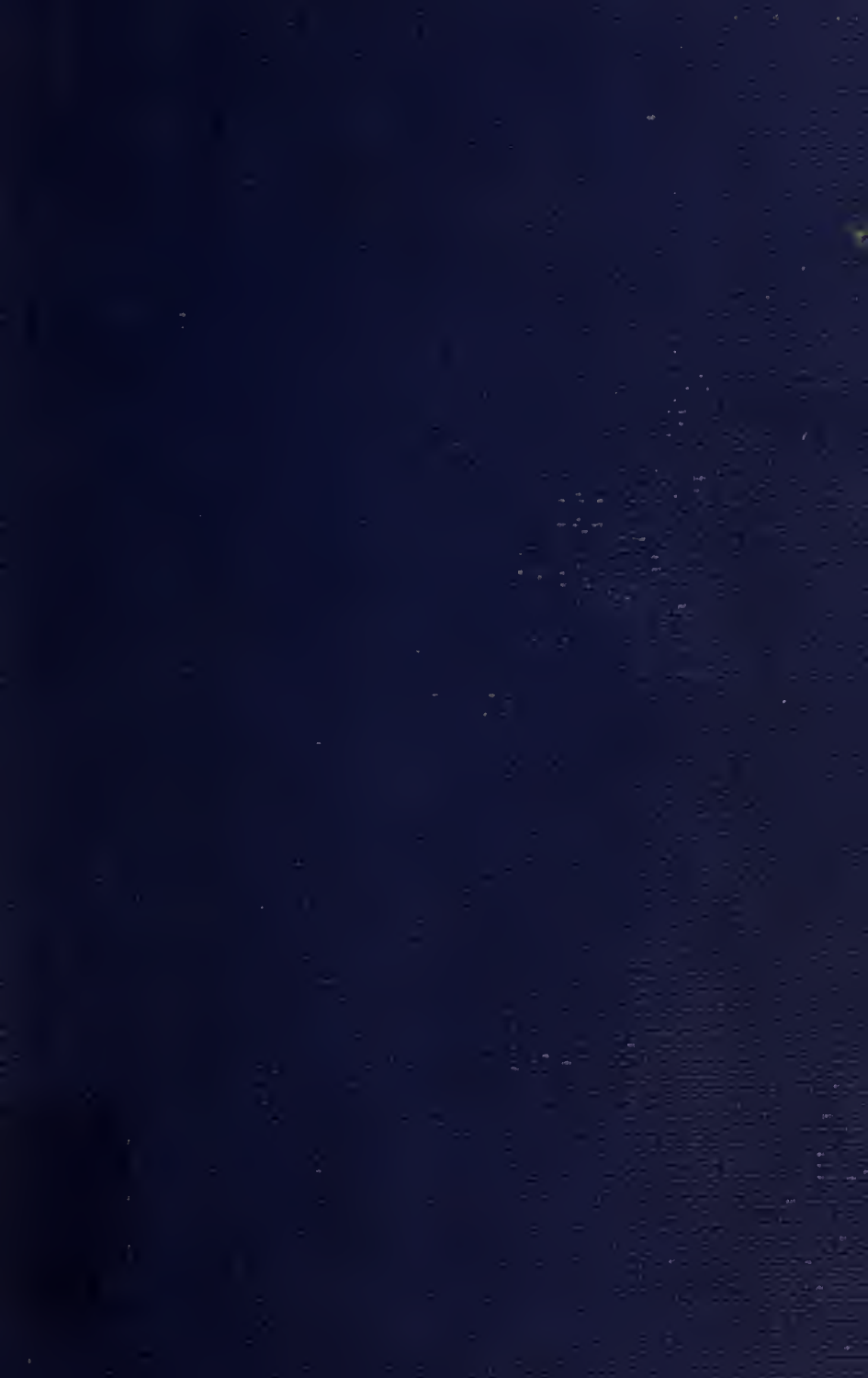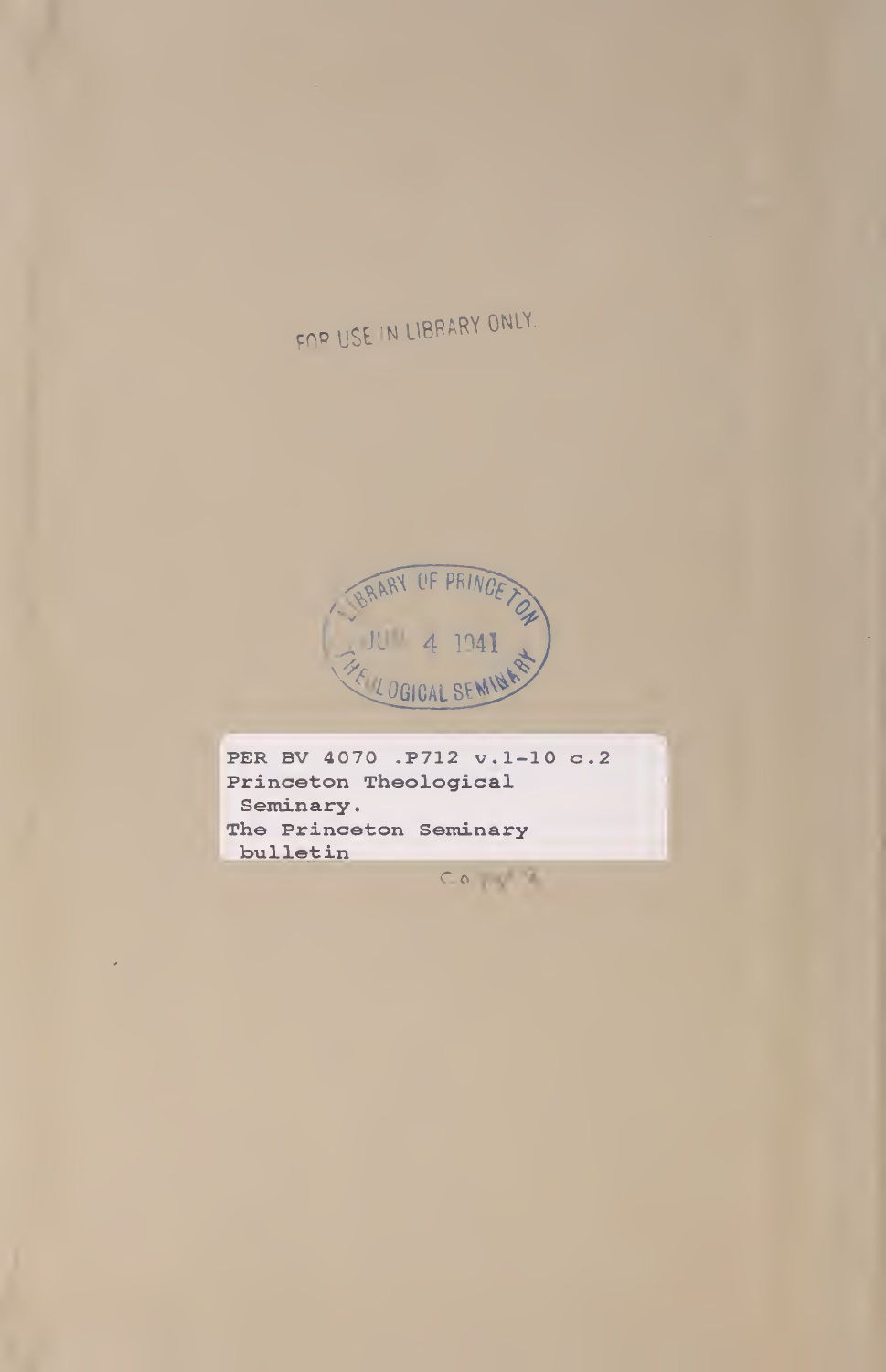# FOR USE IN LIBRARY ONLY.



PER BV 4070 .P712 v.1-10 c.2 Princeton Theological Seminary. The Princeton Seminary bulletin

CO NV 9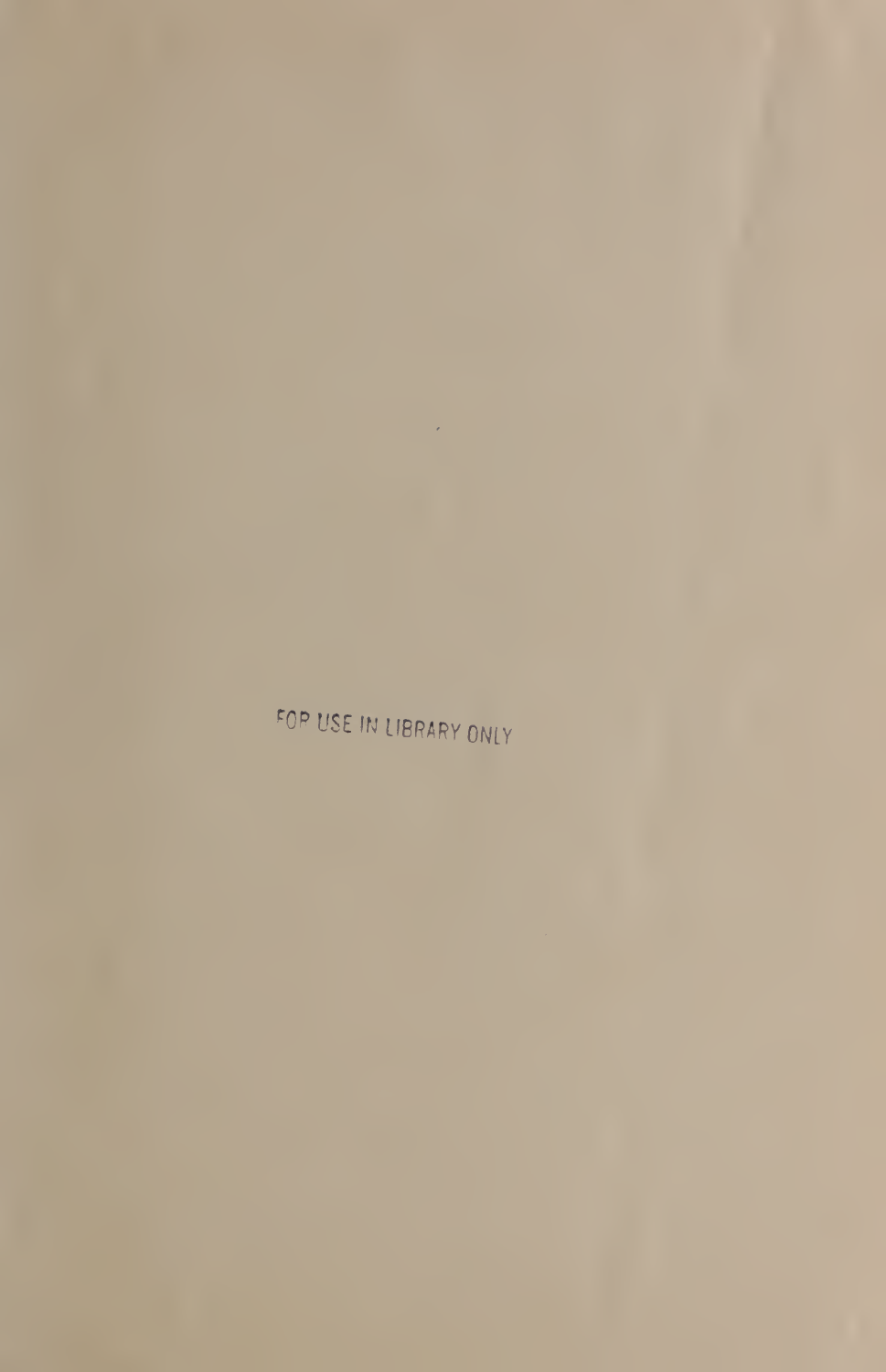FOR USE IN LIBRARY ONLY

 $\mathcal{L} = \{ \mathcal{L}_1, \ldots, \mathcal{L}_n \}$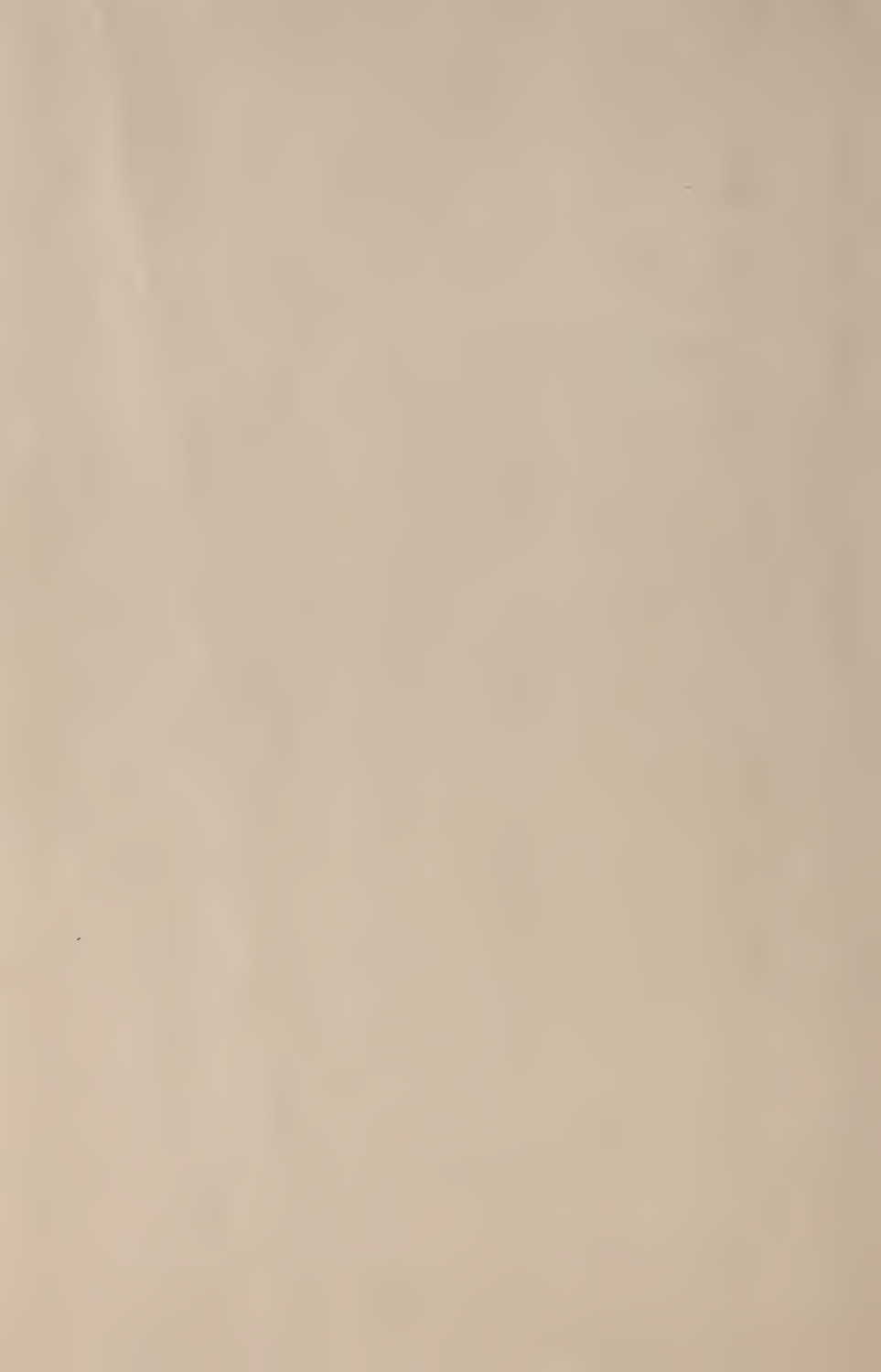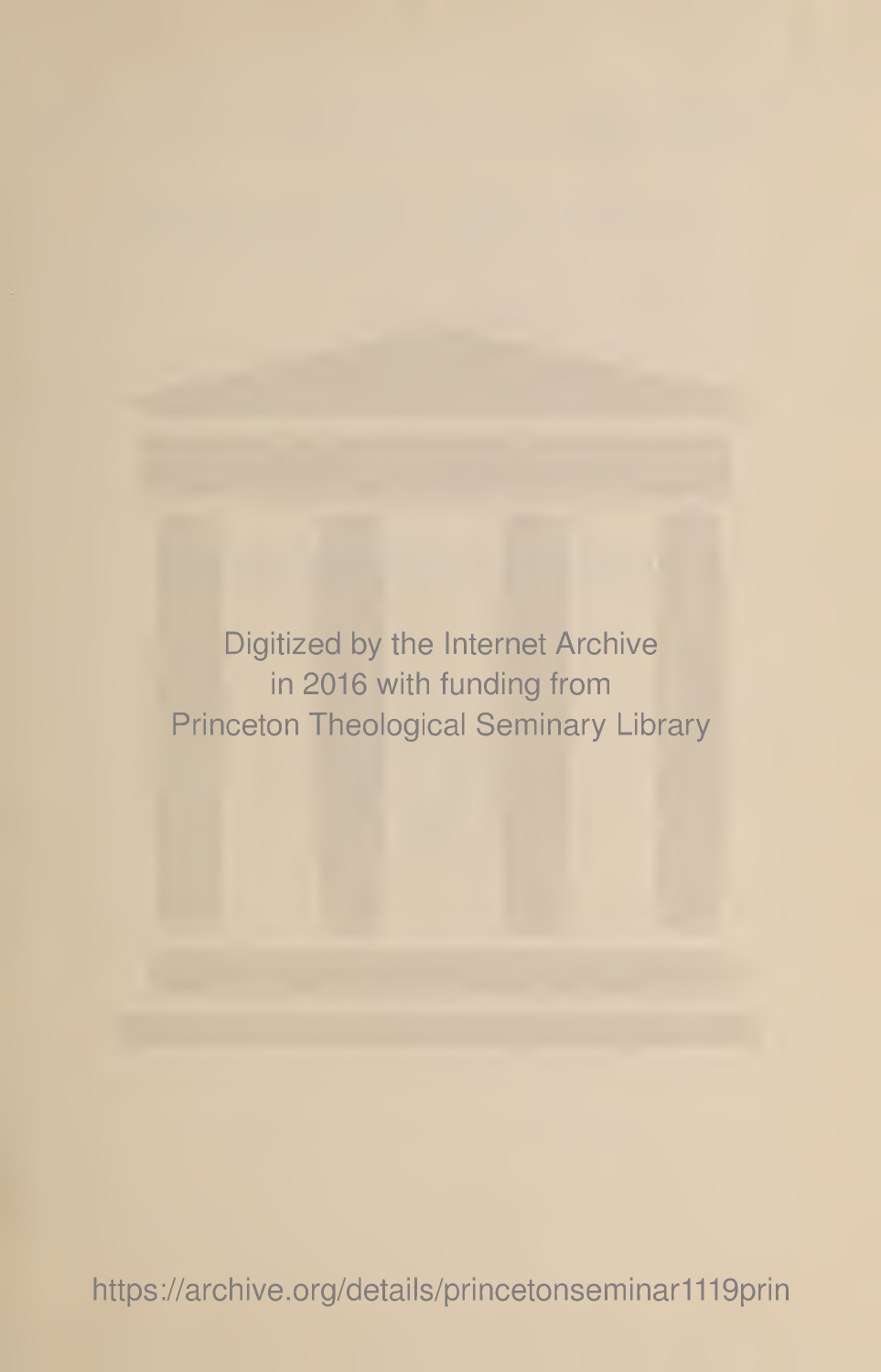Digitized by the Internet Archive in 2016 with funding from Princeton Theological Seminary Library

https://archive.org/details/princetonseminar1119prin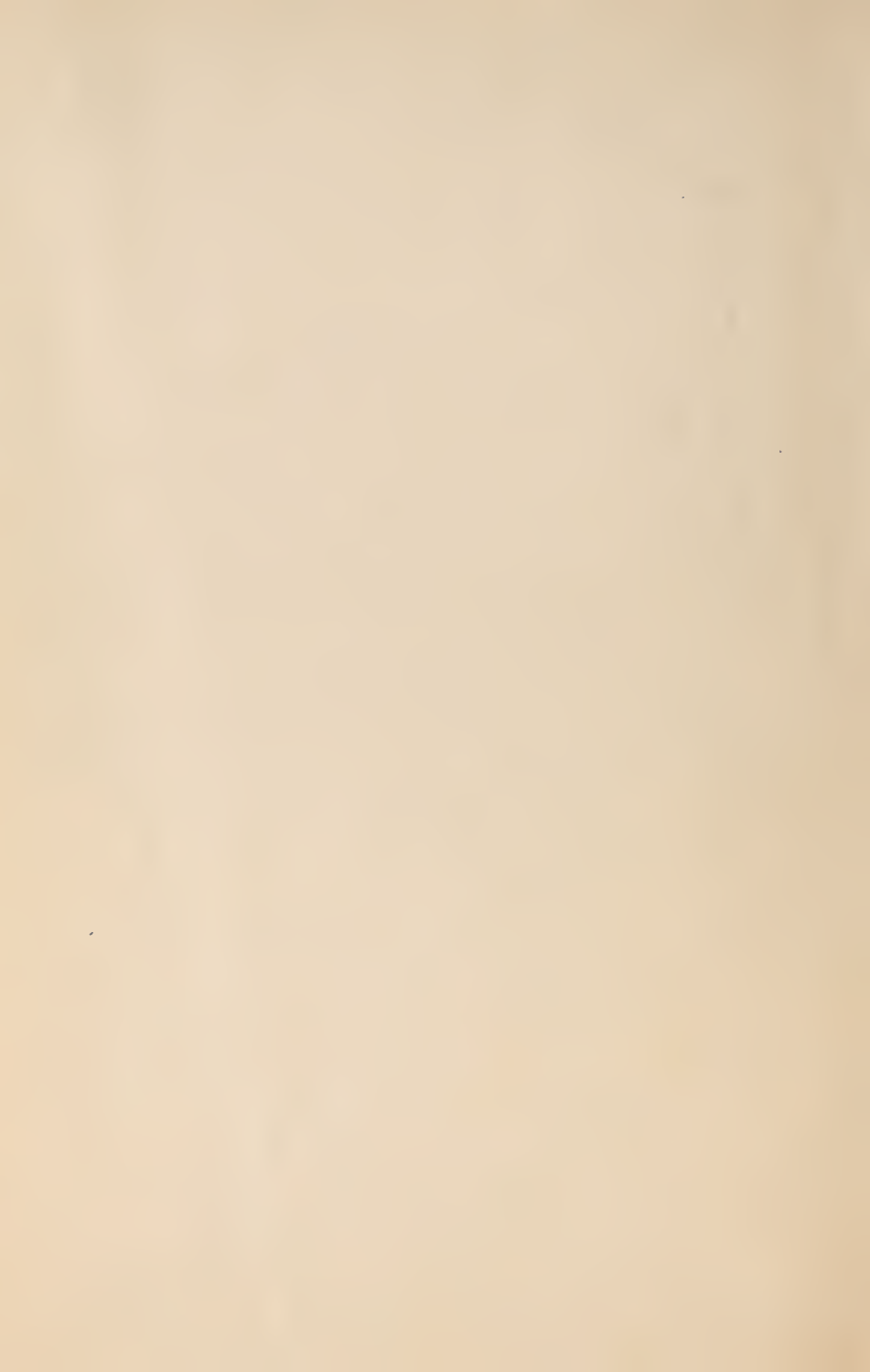$\mathcal{A} \subset \mathbb{R}^n$  .  $\mathcal{L}^{\text{max}}_{\text{max}}$  $\epsilon$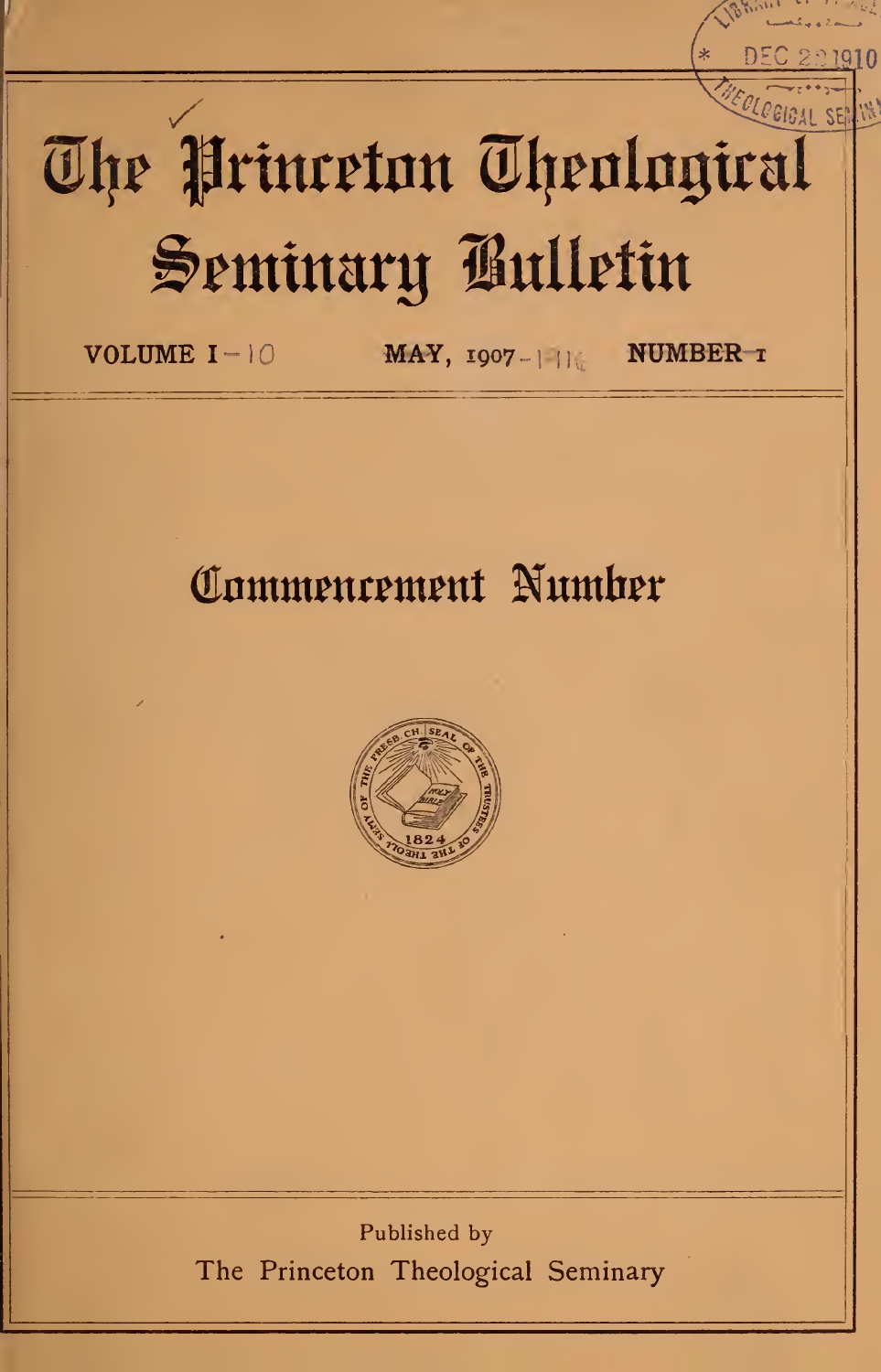# **PEIRAL SF** The Princeton Theological Seminary Bulletin

VOLUME  $I - 10$ 

MAY, 1907-1111

NUMBER-1

# Commencement Number



Published by The Princeton Theological Seminary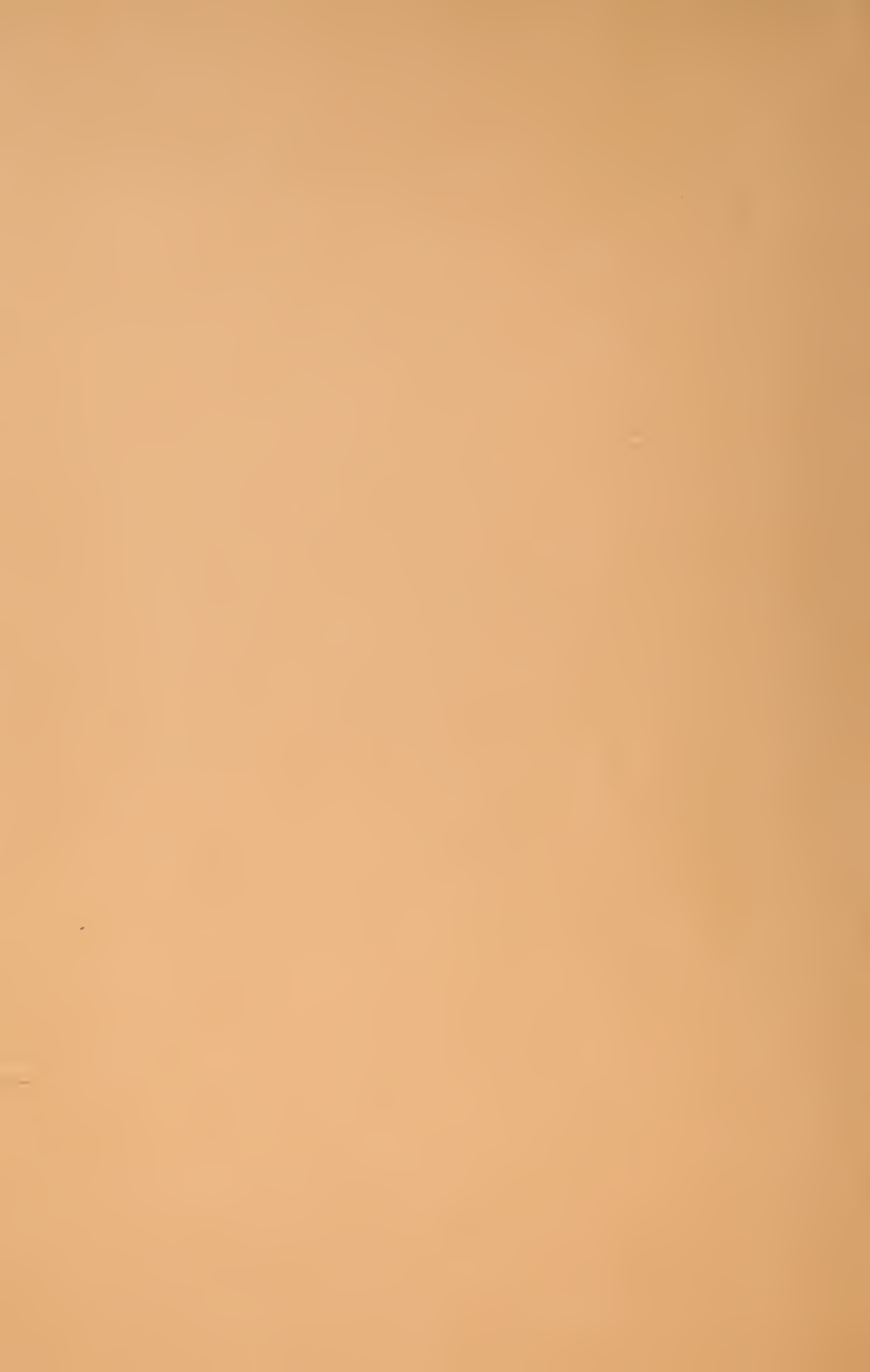$\mathcal{A}^{\pm}$  .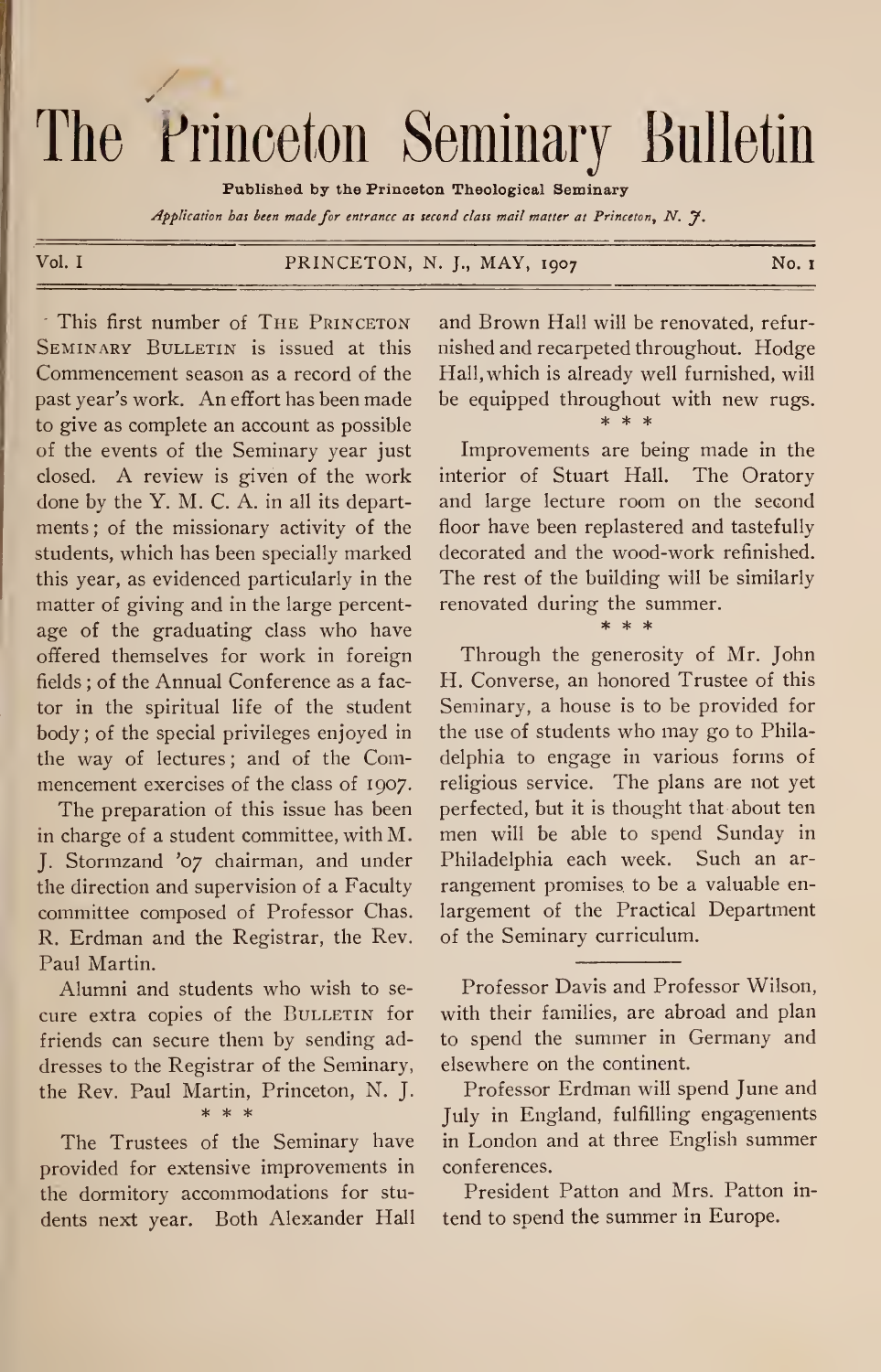# / The Princeton Seminary Bulletin

Published by the Princeton Theological Seminary

Application has been made for entrance as second class mail matter at Princeton,  $N$ .  $\tilde{f}$ .

#### Vol. I PRINCETON, N. J., MAY, 1907 No. 1

This first number of The Princeton SEMINARY BULLETIN is issued at this Commencement season as a record of the past year's work. An effort has been made to give as complete an account as possible of the events of the Seminary year just closed. A review is given of the work done by the Y. M. C. A. in all its departments ; of the missionary activity of the students, which has been specially marked this year, as evidenced particularly in the matter of giving and in the large percentage of the graduating class who have offered themselves for work in foreign fields ; of the Annual Conference as a fac tor in the spiritual life of the student body; of the special privileges enjoyed in the way of lectures ; and of the Commencement exercises of the class of 1907.

The preparation of this issue has been in charge of a student committee, with M. J. Stormzand '07 chairman, and under the direction and supervision of a Faculty committee composed of Professor Chas. R. Erdman and the Registrar, the Rev. Paul Martin.

Alumni and students who wish to se cure extra copies of the BULLETIN for friends can secure them by sending addresses to the Registrar of the Seminary, the Rev. Paul Martin, Princeton, N. J. \* \* \*

The Trustees of the Seminary have provided for extensive improvements in the dormitory accommodations for stu dents next year. Both Alexander Hall

and Brown Hall will be renovated, refur nished and recarpeted throughout. Hodge Hall, which is already well furnished, will be equipped throughout with new rugs. \* \* \*

Improvements are being made in the interior of Stuart Hall. The Oratory and large lecture room on the second floor have been replastered and tastefully decorated and the wood-work refinished. The rest of the building will be similarly renovated during the summer.

\* \* \*

Through the generosity of Mr. John H. Converse, an honored Trustee of this Seminary, a house is to be provided for the use of students who may go to Philadelphia to engage in various forms of religious service. The plans are not yet perfected, but it is thought that about ten men will be able to spend Sunday in Philadelphia each week. Such an ar rangement promises to be a valuable en largement of the Practical Department of the Seminary curriculum.

Professor Davis and Professor Wilson, with their families, are abroad and plan to spend the summer in Germany and elsewhere on the continent.

Professor Erdman will spend June and July in England, fulfilling engagements in London and at three English summer conferences.

President Patton and Mrs. Patton in tend to spend the summer in Europe.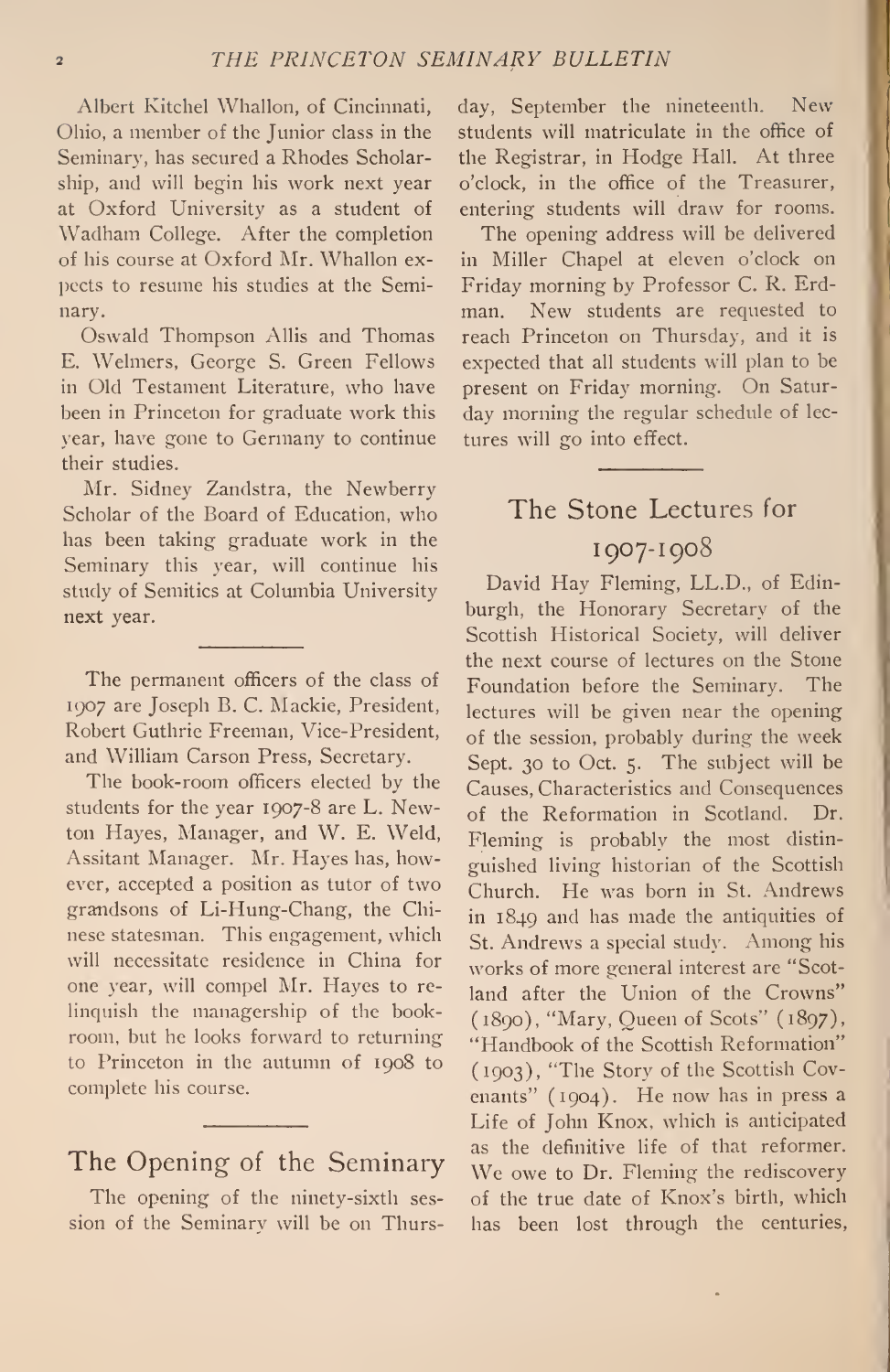Albert Kitchel Whallon, of Cincinnati, Ohio, a member of the Junior class in the Seminary, has secured a Rhodes Scholarship, and will begin his work next year at Oxford University as a student of Wadham College. After the completion of his course at Oxford Mr. Whallon expects to resume his studies at the Seminary.

Oswald Thompson Allis and Thomas E. Welmers, George S. Green Fellows in Old Testament Literature, who have been in Princeton for graduate work this year, have gone to Germany to continue their studies.

Mr. Sidney Zandstra, the Newberry Scholar of the Board of Education, who has been taking graduate work in the Seminary this year, will continue his study of Semitics at Columbia University next year.

The permanent officers of the class of 1907 are Joseph B. C. Mackie, President, Robert Guthrie Freeman, Vice-President, and William Carson Press, Secretary.

The book-room officers elected by the students for the year 1907-8 are L. Newton Hayes, Manager, and W. E. Weld, Assitant Manager. Mr. Hayes has, however, accepted a position as tutor of two grandsons of Li-Hung-Chang, the Chinese statesman. This engagement, which will necessitate residence in China for one year, will compel Mr. Hayes to re linquish the managership of the book room, but he looks forward to returning to Princeton in the autumn of 1908 to complete his course.

#### The Opening of the Seminary

The opening of the ninety-sixth ses sion of the Seminary will be on Thursday, September the nineteenth. New students will matriculate in the office of the Registrar, in Hodge Hall. At three o'clock, in the office of the Treasurer, entering students will draw for rooms.

The opening address will be delivered in Miller Chapel at eleven o'clock on Friday morning by Professor C. R. Erd man. New students are requested to reach Princeton on Thursday, and it is expected that all students will plan to be present on Friday morning. On Satur day morning the regular schedule of lec tures will go into effect.

# The Stone Lectures for 1907-1908

David Hay Fleming, LL.D., of Edinburgh, the Honorary Secretary of the Scottish Historical Society, will deliver the next course of lectures on the Stone Foundation before the Seminary. The lectures will be given near the opening of the session, probably during the week Sept. 30 to Oct. 5. The subject will be Causes, Characteristics and Consequences of the Reformation in Scotland. Dr. Fleming is probably the most distin guished living historian of the Scottish Church. He was born in St. Andrews in 1849 and has made the antiquities of St. Andrews <sup>a</sup> special study. Among his works of more general interest are "Scotland after the Union of the Crowns" (1890), "Mary, Queen of Scots" (1897), "Handbook of the Scottish Reformation" (1903), "The Story of the Scottish Covenants" (1904). He now has in press <sup>a</sup> Life of John Knox, which is anticipated as the definitive life of that reformer. We owe to Dr. Fleming the rediscovery of the true date of Knox's birth, which has been lost through the centuries,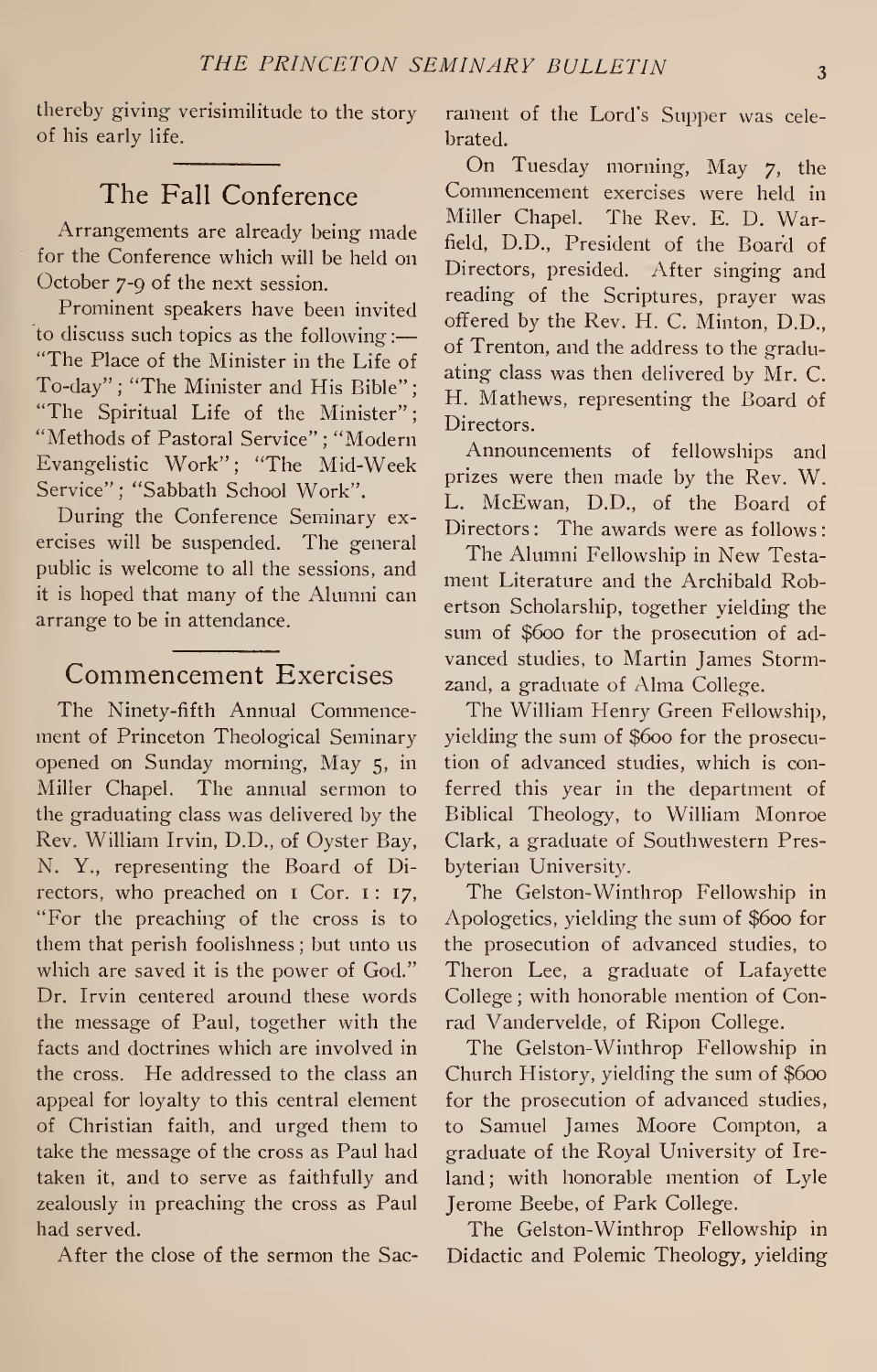thereby giving verisimilitude to the story of his early life.

#### The Fall Conference

Arrangements are already being made for the Conference which will be held on October 7-9 of the next session.

Prominent speakers have been invited to discuss such topics as the following : "The Place of the Minister in the Life of To-day" ; "The Minister and His Bible" ; "The Spiritual Life of the Minister"; "Methods of Pastoral Service" ; "Modern Evangelistic Work"; "The Mid-Week Service"; "Sabbath School Work".

During the Conference Seminary exercises will be suspended. The general public is welcome to all the sessions, and it is hoped that many of the Alumni can arrange to be in attendance.

Commencement Exercises

The Ninety-fifth Annual Commencement of Princeton Theological Seminary opened on Sunday morning, May 5, in Miller Chapel. The annual sermon to the graduating class was delivered by the Rev. William Irvin, D.D., of Oyster Bay, N. Y., representing the Board of Directors, who preached on I Cor. I: 17, "For the preaching of the cross is to them that perish foolishness ; but unto us which are saved it is the power of God." Dr. Irvin centered around these words the message of Paul, together with the facts and doctrines which are involved in the cross. He addressed to the class an appeal for loyalty to this central element of Christian faith, and urged them to take the message of the cross as Paul had taken it, and to serve as faithfully and zealously in preaching the cross as Paul had served.

After the close of the sermon the Sac-

rament of the Lord's Supper was cele brated.

On Tuesday morning, May 7, the Commencement exercises were held in Miller Chapel. The Rev. E. D. Warfield, D.D., President of the Board of Directors, presided. After singing and reading of the Scriptures, prayer was offered by the Rev. H. C. Minton, D.D., of Trenton, and the address to the graduating class was then delivered by Mr. C. H. Mathews, representing the Board of Directors.

Announcements of fellowships and prizes were then made by the Rev. W. L. McEwan, D.D., of the Board of Directors: The awards were as follows:

The Alumni Fellowship in New Testa ment Literature and the Archibald Robertson Scholarship, together yielding the sum of \$600 for the prosecution of advanced studies, to Martin James Stormzand, a graduate of Alma College.

The William Henry Green Fellowship, yielding the sum of \$600 for the prosecution of advanced studies, which is conferred this year in the department of Biblical Theology, to William Monroe Clark, a graduate of Southwestern Presbyterian University.

The Gelston-Winthrop Fellowship in Apologetics, yielding the sum of \$600 for the prosecution of advanced studies, to Theron Lee, a graduate of Lafayette College ; with honorable mention of Conrad Vandervelde, of Ripon College.

The Gelston-Winthrop Fellowship in Church History, yielding the sum of \$600 for the prosecution of advanced studies, to Samuel James Moore Compton, a graduate of the Royal University of Ire land; with honorable mention of Lyle Jerome Beebe, of Park College.

The Gelston-Winthrop Fellowship in Didactic and Polemic Theology, yielding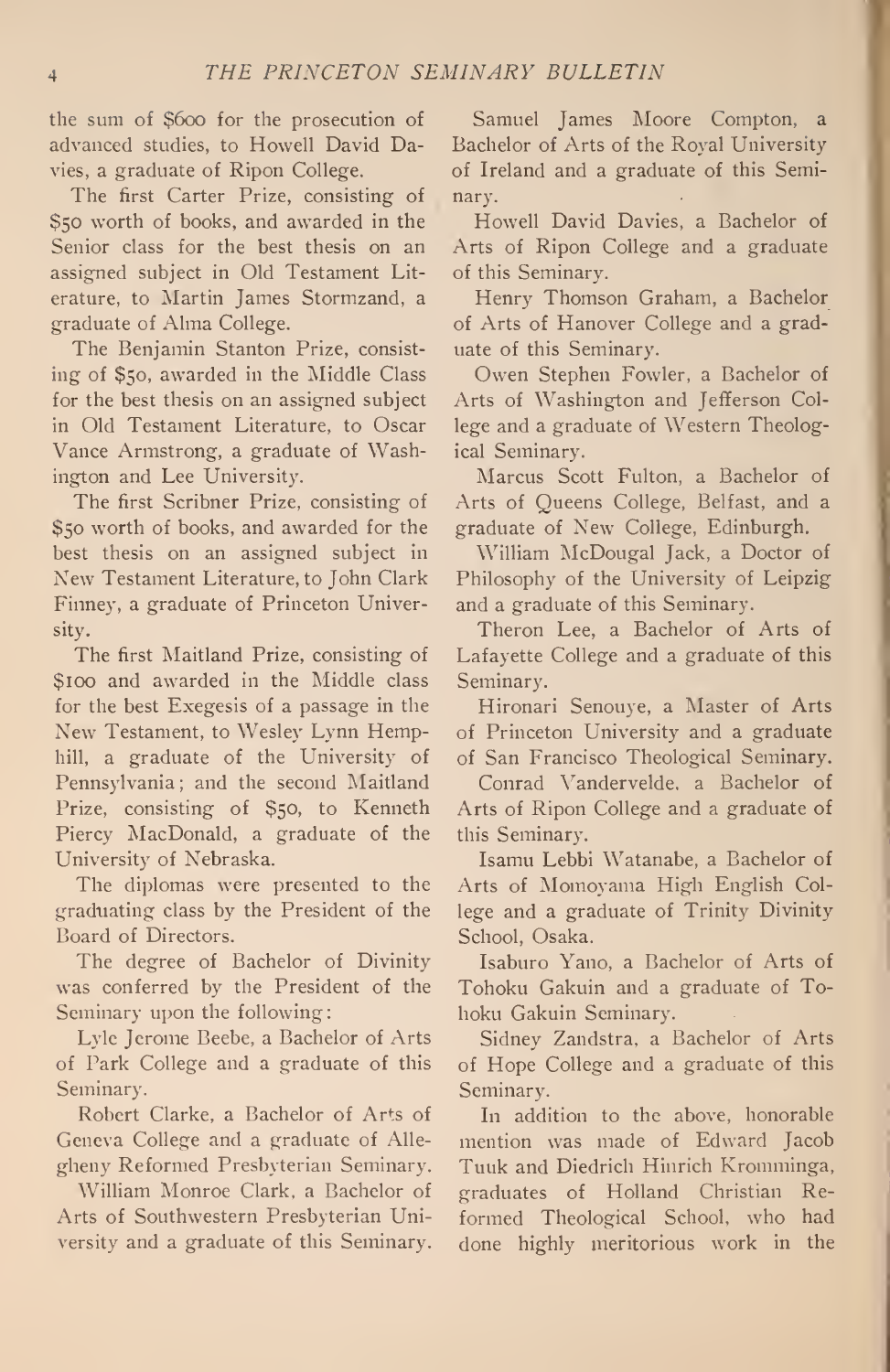the sum of \$600 for the prosecution of advanced studies, to Howell David Davies, a graduate of Ripon College.

The first Carter Prize, consisting of \$50 worth of books, and awarded in the Senior class for the best thesis on an assigned subject in Old Testament Lit erature, to Martin James Stormzand, a graduate of Alma College.

The Benjamin Stanton Prize, consist ing of \$50, awarded in the Middle Class for the best thesis on an assigned subject in Old Testament Literature, to Oscar Vance Armstrong, a graduate of Washington and Lee University.

The first Scribner Prize, consisting of \$50 worth of books, and awarded for the best thesis on an assigned subject in New Testament Literature, to John Clark Finney, a graduate of Princeton University.

The first Maitland Prize, consisting of \$100 and awarded in the Middle class for the best Exegesis of a passage in the New Testament, to Wesley Lynn Hemphill, a graduate of the University of Pennsylvania ; and the second Maitland Prize, consisting of \$50, to Kenneth Piercy MacDonald, a graduate of the University of Nebraska.

The diplomas were presented to the graduating class by the President of the Board of Directors.

The degree of Bachelor of Divinity was conferred by the President of the Seminary upon the following:

Lyle Jerome Beebe, a Bachelor of Arts of Park College and a graduate of this Seminary.

Robert Clarke, a Bachelor of Arts of Geneva College and a graduate of Alle gheny Reformed Presbyterian Seminary.

William Monroe Clark, a Bachelor of Arts of Southwestern Presbyterian University and a graduate of this Seminary.

Samuel James Moore Compton, a Bachelor of Arts of the Royal University of Ireland and a graduate of this Seminary.

Howell David Davies, a Bachelor of Arts of Ripon College and a graduate of this Seminary.

Henry Thomson Graham, a Bachelor of Arts of Hanover College and a graduate of this Seminary.

Owen Stephen Fowler, <sup>a</sup> Bachelor of Arts of Washington and Jefferson College and a graduate of Western Theological Seminary.

Marcus Scott Fulton, a Bachelor of Arts of Queens College, Belfast, and a graduate of New College, Edinburgh.

William McDougal Jack, a Doctor of Philosophy of the University of Leipzig and a graduate of this Seminary.

Theron Lee, a Bachelor of Arts of Lafayette College and a graduate of this Seminary.

Hironari Senouye, a Master of Arts of Princeton University and a graduate of San Francisco Theological Seminary.

Conrad Vandervelde, a Bachelor of Arts of Ripon College and a graduate of this Seminary.

Isamu Lebbi Watanabe, a Bachelor of Arts of Momoyama High English College and a graduate of Trinity Divinity School, Osaka.

Isaburo Yano, a Bachelor of Arts of Tohoku Gakuin and a graduate of Tohoku Gakuin Seminary.

Sidney Zandstra, a Bachelor of Arts of Hope College and a graduate of this Seminary.

In addition to the above, honorable mention was made of Edward Jacob Tuuk and Diedrich Hinrich Kromminga, graduates of Holland Christian Reformed Theological School, who had done highly meritorious work in the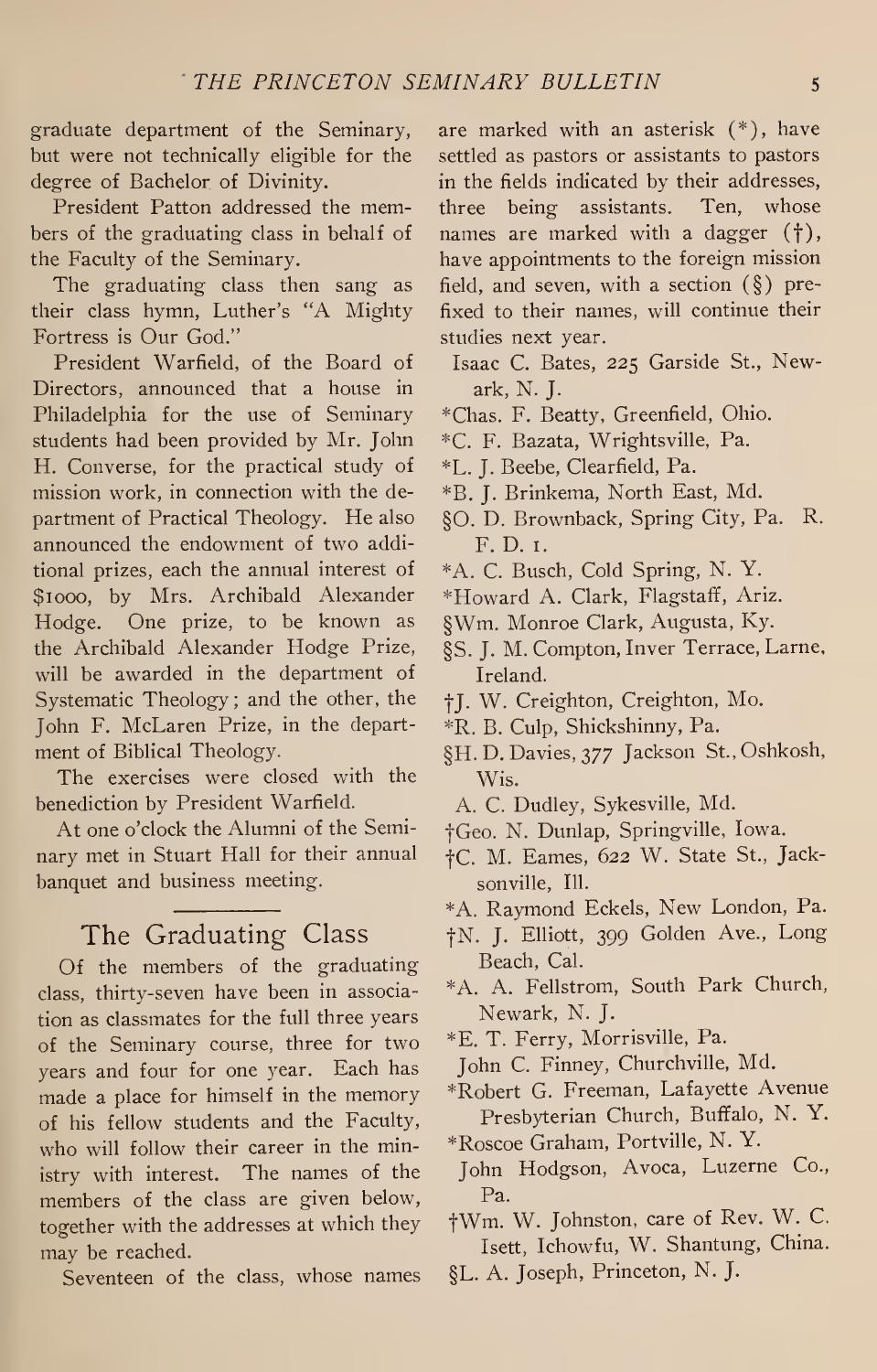graduate department of the Seminary, but were not technically eligible for the degree of Bachelor of Divinity.

President Patton addressed the members of the graduating class in behalf of the Faculty of the Seminary.

The graduating class then sang as their class hymn, Luther's "A Mighty Fortress is Our God."

President Warfield, of the Board of Directors, announced that a house in Philadelphia for the use of Seminary students had been provided by Mr. John H. Converse, for the practical study of mission work, in connection with the de partment of Practical Theology. He also announced the endowment of two additional prizes, each the annual interest of \$1000, by Mrs. Archibald Alexander Hodge. One prize, to be known as the Archibald Alexander Hodge Prize, will be awarded in the department of Systematic Theology ; and the other, the John F. McLaren Prize, in the department of Biblical Theology.

The exercises were closed with the benediction by President Warfield.

At one o'clock the Alumni of the Seminary met in Stuart Hall for their annual banquet and business meeting.

#### The Graduating Class

Of the members of the graduating class, thirty-seven have been in association as classmates for the full three years of the Seminary course, three for two years and four for one year. Each has made <sup>a</sup> place for himself in the memory of his fellow students and the Faculty, who will follow their career in the ministry with interest. The names of the members of the class are given below, together with the addresses at which they may be reached.

Seventeen of the class, whose names

are marked with an asterisk (\*), have settled as pastors or assistants to pastors in the fields indicated by their addresses, three being assistants. Ten, whose names are marked with a dagger (†), have appointments to the foreign mission field, and seven, with a section  $(\S)$  prefixed to their names, will continue their studies next year.

- Isaac C. Bates, 225 Garside St., Newark, N. J.
- \*Chas. F. Beatty, Greenfield, Ohio.
- \*C. F. Bazata, Wrightsville, Pa.
- \*L. J. Beebe, Clearfield, Pa.
- \*B. J. Brinkema, North East, Md.
- § 0. D. Brownback, Spring City, Pa. R. F. D. 1.
- \*A. C. Busch, Cold Spring, N. Y.
- ^Howard A. Clark, Flagstaff, Ariz.
- §Wm. Monroe Clark, Augusta, Ky.
- §S. J. M. Compton, Inver Terrace, Larne, Ireland.
- fj. W. Creighton, Creighton, Mo.
- \*R. B. Culp, Shickshinny, Pa.
- §H. D. Davies, 377 Jackson St., Oshkosh, Wis.
	- A. C. Dudley, Sykesville, Md.
- fGeo. N. Dunlap, Springville, Iowa.
- fC. M. Eames, <sup>622</sup> W. State St., Jacksonville, 111.
- \*A. Raymond Eckels, New London, Pa.
- fN. J. Elliott, <sup>399</sup> Golden Ave., Long Beach, Cal.
- \*A. A. Fellstrom, South Park Church, Newark, N. J.
- \*E. T. Ferry, Morrisville, Pa.
- John C. Finney, Churchville, Md.
- ^Robert G. Freeman, Lafayette Avenue Presbyterian Church, Buffalo, N. Y.
- \*Roscoe Graham, Portville, N. Y.
- John Hodgson, Avoca, Luzerne Co., Pa.
- fWm. W. Johnston, care of Rev. W. C. Isett, Ichowfu, W. Shantung, China.
- §L. A. Joseph, Princeton, N. J.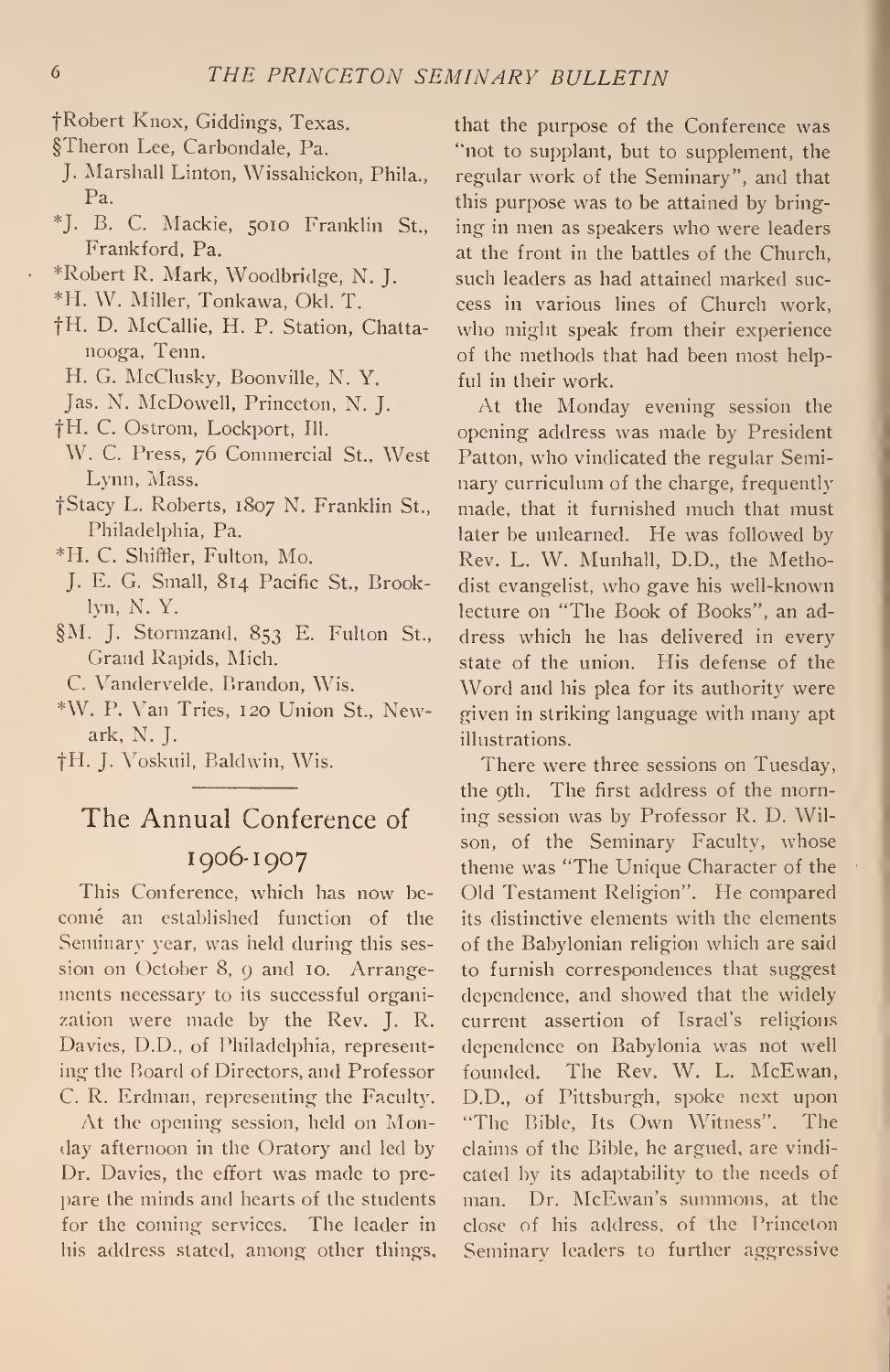- fRobert Knox, Giddings, Texas.
- §Theron Lee, Carbondale, Pa.
- J. Marshall Linton, Wissahickon, Phila., Pa.
- \*J. B. C. Mackie, 5010 Franklin St., Frankford, Pa.
- ^Robert R. Mark, Woodbridge, N. J.
- \*H. W. Miller, Tonkawa, Okl. T.
- fH. D. McCallie, H. P. Station, Chattanooga, Tenn.
	- H. G. McClusky, Boonville, N. Y.
- Jas. N. McDowell, Princeton, N. J.
- †H. C. Ostrom, Lockport, Ill.
- W. C. Press, 76 Commercial St., West Lynn, Mass.
- f Stacy L. Roberts, 1807 N. Franklin St., Philadelphia, Pa.
- \*H. C. Shiffler, Fulton, Mo.
	- J. E. G. Small, 814 Pacific St., Brooklyn, N. Y.
- §M. J. Stormzand, 853 E. Fulton St., Grand Rapids, Mich.
- C. Vandervelde, Brandon, Wis.
- \*W. P. Van Tries, 120 Union St., Newark, N. J.
- fH. J. Voskuil, Baldwin, Wis.

# The Annual Conference of 1906-1907

This Conference, which has now be come an established function of the Seminary year, was held during this ses sion on October 8, 9 and 10. Arrangements necessary to its successful organization were made by the Rev. J. R. Davies, D.D., of Philadelphia, representing the Board of Directors, and Professor C. R. Erdman, representing the Faculty.

At the opening session, held on Monday afternoon in the Oratory and led by Dr. Davies, the effort was made to pre pare the minds and hearts of the students for the coming services. The leader in his address stated, among other things. that the purpose of the Conference was "not to supplant, but to supplement, the regular work of the Seminary", and that this purpose was to be attained by bringing in men as speakers who were leaders at the front in the battles of the Church, such leaders as had attained marked success in various lines of Church work, who might speak from their experience of the methods that had been most helpful in their work.

At the Monday evening session the opening address was made by President Patton, who vindicated the regular Seminary curriculum of the charge, frequently made, that it furnished much that must later be unlearned. He was followed by Rev. L. W. Munhall, D.D., the Methodist evangelist, who gave his well-known lecture on "The Book of Books", an address which he has delivered in every state of the union. His defense of the Word and his plea for its authority were given in striking language with many apt illustrations.

There were three sessions on Tuesday, the 9th. The first address of the morning session was by Professor R. D. Wilson, of the Seminary Faculty, whose theme was "The Unique Character of the Old Testament Religion". He compared its distinctive elements with the elements of the Babylonian religion which are said to furnish correspondences that suggest dependence, and showed that the widely current assertion of Israel's religious dependence on Babylonia was not well The Rev. W. L. McEwan, D.D., of Pittsburgh, spoke next upon "The Bible, Its Own Witness". The claims of the Bible, he argued, are vindicated by its adaptability to the needs of man. Dr. McEwan's summons, at the close of his address, of the Princeton Seminary leaders to further aggressive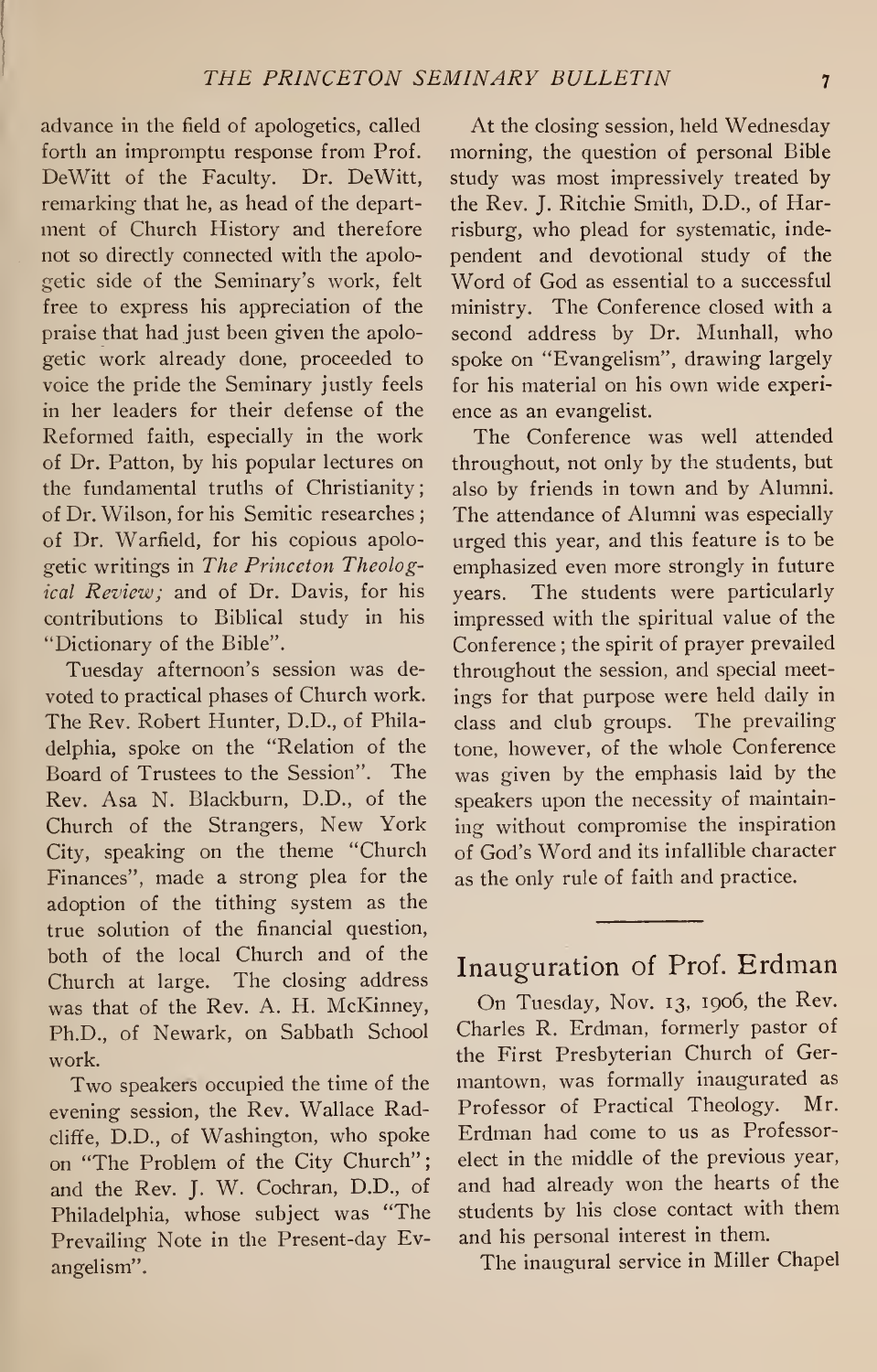advance in the field of apologetics, called forth an impromptu response from Prof. DeWitt of the Faculty. Dr. DeWitt, remarking that he, as head of the department of Church History and therefore not so directly connected with the apologetic side of the Seminary's work, felt free to express his appreciation of the praise that had just been given the apologetic work already done, proceeded to voice the pride the Seminary justly feels in her leaders for their defense of the Reformed faith, especially in the work of Dr. Patton, by his popular lectures on the fundamental truths of Christianity of Dr. Wilson, for his Semitic researches; of Dr. Warfield, for his copious apologetic writings in The Princeton Theological Review; and of Dr. Davis, for his years. contributions to Biblical study in his "Dictionary of the Bible".

Tuesday afternoon's session was devoted to practical phases of Church work. The Rev. Robert Hunter, D.D., of Philadelphia, spoke on the "Relation of the Board of Trustees to the Session". The Rev. Asa N. Blackburn, D.D., of the Church of the Strangers, New York City, speaking on the theme "Church Finances", made a strong plea for the adoption of the tithing system as the true solution of the financial question, both of the local Church and of the Church at large. The closing address was that of the Rev. A. H. McKinney, Ph.D., of Newark, on Sabbath School work.

Two speakers occupied the time of the evening session, the Rev. Wallace Radclifife, D.D., of Washington, who spoke on "The Problem of the City Church" and the Rev. J. W. Cochran, D.D., of Philadelphia, whose subject was "The Prevailing Note in the Present-day Evangelism".

At the closing session, held Wednesday morning, the question of personal Bible study was most impressively treated by the Rev. J. Ritchie Smith, D.D., of Harrisburg, who plead for systematic, independent and devotional study of the Word of God as essential to <sup>a</sup> successful ministry. The Conference closed with a second address by Dr. Munhall, who spoke on "Evangelism", drawing largely for his material on his own wide experi ence as an evangelist.

The Conference was well attended throughout, not only by the students, but also by friends in town and by Alumni. The attendance of Alumni was especially urged this year, and this feature is to be emphasized even more strongly in future The students were particularly impressed with the spiritual value of the Conference ; the spirit of prayer prevailed throughout the session, and special meetings for that purpose were held daily in class and club groups. The prevailing tone, however, of the whole Conference was given by the emphasis laid by the speakers upon the necessity of maintaining without compromise the inspiration of God's Word and its infallible character as the only rule of faith and practice.

### Inauguration of Prof. Erdman

On Tuesday, Nov. 13, 1906, the Rev. Charles R. Erdman, formerly pastor of the First Presbyterian Church of Germantown, was formally inaugurated as Professor of Practical Theology. Mr. Erdman had come to us as Professorelect in the middle of the previous year, and had already won the hearts of the students by his close contact with them and his personal interest in them.

The inaugural service in Miller Chapel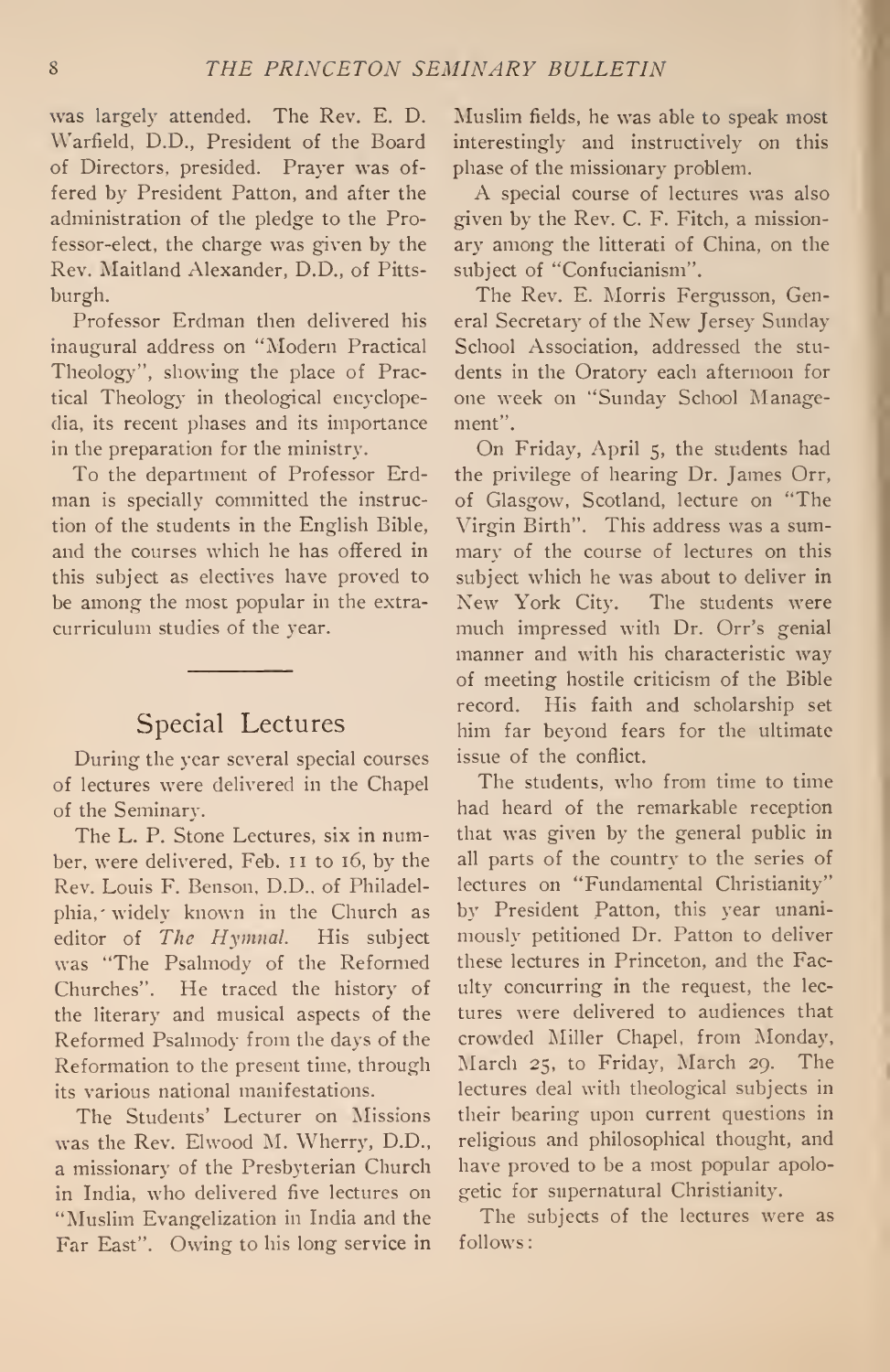was largely attended. The Rev. E. D. Warfield, D.D., President of the Board of Directors, presided. Prayer was of fered by President Patton, and after the administration of the pledge to the Professor-elect, the charge was given by the Rev. Maitland Alexander, D.D., of Pitts burgh.

Professor Erdman then delivered his inaugural address on "Modern Practical Theology", showing the place of Practical Theology in theological encyclopedia, its recent phases and its importance in the preparation for the ministry.

To the department of Professor Erd man is specially committed the instruction of the students in the English Bible, and the courses which he has offered in this subject as electives have proved to be among the most popular in the extra curriculum studies of the year.

#### Special Lectures

During the year several special courses of lectures were delivered in the Chapel of the Seminary.

The L. P. Stone Lectures, six in number, were delivered, Feb. 11 to 16, by the Rev. Louis F. Benson, D.D., of Philadelphia, widely known in the Church as editor of The Hymnal. His subject was "The Psalmody of the Reformed Churches". He traced the history of the literary and musical aspects of the Reformed Psalmody from the days of the Reformation to the present time, through its various national manifestations.

The Students' Lecturer on Missions was the Rev. Elwood M. Wherry, D.D., a missionary of the Presbyterian Church in India, who delivered five lectures on "Muslim Evangelization in India and the Far East". Owing to his long service in Muslim fields, he was able to speak most interestingly and instructively on this phase of the missionary problem.

A special course of lectures was also given by the Rev. C. F. Fitch, a mission ary among the litterati of China, on the subject of "Confucianism".

The Rev. E. Morris Fergusson, General Secretary of the New Jersey Sunday School Association, addressed the stu dents in the Oratory each afternoon for one week on "Sunday School Management".

On Friday, April 5, the students had the privilege of hearing Dr. James Orr, of Glasgow, Scotland, lecture on "The Virgin Birth". This address was a sum mary of the course of lectures on this subject which he was about to deliver in New York City. The students were much impressed with Dr. Orr's genial manner and with his characteristic way of meeting hostile criticism of the Bible record. His faith and scholarship set him far beyond fears for the ultimate issue of the conflict.

The students, who from time to time had heard of the remarkable reception that was given by the general public in all parts of the country to the series of lectures on "Fundamental Christianity" by President Patton, this year unanimously petitioned Dr. Patton to deliver these lectures in Princeton, and the Faculty concurring in the request, the lec tures were delivered to audiences that crowded Miller Chapel, from Monday, March 25, to Friday, March 29. The lectures deal with theological subjects in their bearing upon current questions in religious and philosophical thought, and have proved to be a most popular apologetic for supernatural Christianity.

The subjects of the lectures were as follows: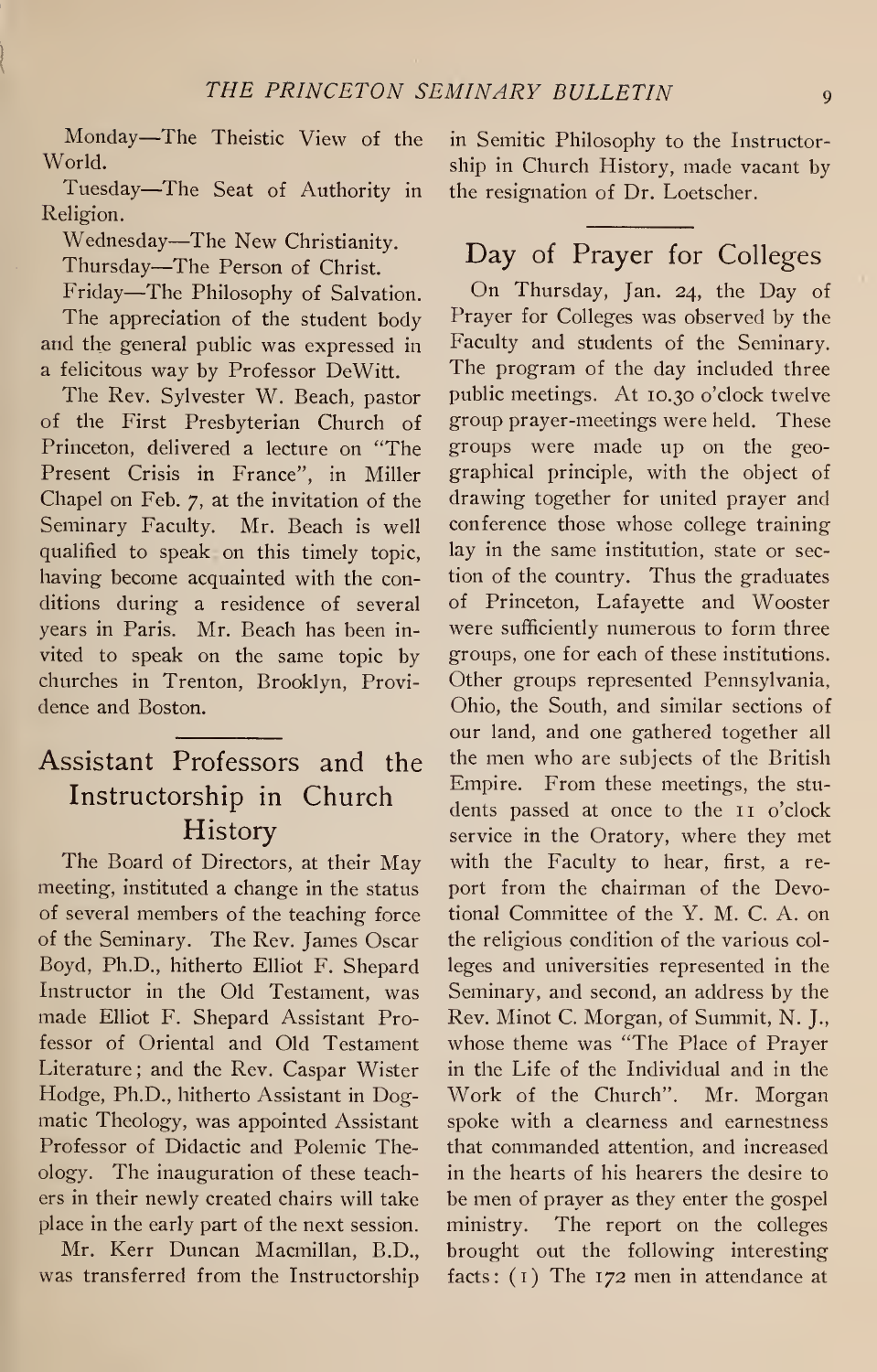Monday—The Theistic View of the World.

Tuesday—The Seat of Authority in Religion.

Wednesday—The New Christianity.

Thursday—The Person of Christ.

Friday—The Philosophy of Salvation. The appreciation of the student body and the general public was expressed in a felicitous way by Professor DeWitt.

The Rev. Sylvester W. Beach, pastor of the First Presbyterian Church of Princeton, delivered a lecture on "The Present Crisis in France", in Miller Chapel on Feb. 7, at the invitation of the Seminary Faculty. Mr. Beach is well qualified to speak on this timely topic, having become acquainted with the conditions during a residence of several years in Paris. Mr. Beach has been in vited to speak on the same topic by churches in Trenton, Brooklyn, Providence and Boston.

# Assistant Professors and the Instructorship in Church **History**

The Board of Directors, at their May meeting, instituted a change in the status of several members of the teaching force of the Seminary. The Rev. James Oscar Boyd, Ph.D., hitherto Elliot F. Shepard Instructor in the Old Testament, was made Elliot F. Shepard Assistant Professor of Oriental and Old Testament Literature ; and the Rev. Caspar Wister Hodge, Ph.D., hitherto Assistant in Dogmatic Theology, was appointed Assistant Professor of Didactic and Polemic Theology. The inauguration of these teachers in their newly created chairs will take place in the early part of the next session.

Mr. Kerr Duncan Macmillan, B.D., was transferred from the Instructorship

in Semitic Philosophy to the Instructor ship in Church History, made vacant by the resignation of Dr. Loetscher.

#### Day of Prayer for Colleges

On Thursday, Jan. 24, the Day of Prayer for Colleges was observed by the Faculty and students of the Seminary. The program of the day included three public meetings. At 10.30 o'clock twelve group prayer-meetings were held. These groups were made up on the geographical principle, with the object of drawing together for united prayer and conference those whose college training lay in the same institution, state or sec tion of the country. Thus the graduates of Princeton, Lafayette and Wooster were sufficiently numerous to form three groups, one for each of these institutions. Other groups represented Pennsylvania, Ohio, the South, and similar sections of our land, and one gathered together all the men who are subjects of the British Empire. From these meetings, the stu dents passed at once to the 11 o'clock service in the Oratory, where they met with the Faculty to hear, first, a re port from the chairman of the Devotional Committee of the Y. M. C. A. on the religious condition of the various col leges and universities represented in the Seminary, and second, an address by the Rev. Minot C. Morgan, of Summit, N. J., whose theme was "The Place of Prayer in the Life of the Individual and in the Work of the Church". Mr. Morgan spoke with a clearness and earnestness that commanded attention, and increased in the hearts of his hearers the desire to be men of prayer as they enter the gospel ministry. The report on the colleges brought out the following interesting facts: (1) The 172 men in attendance at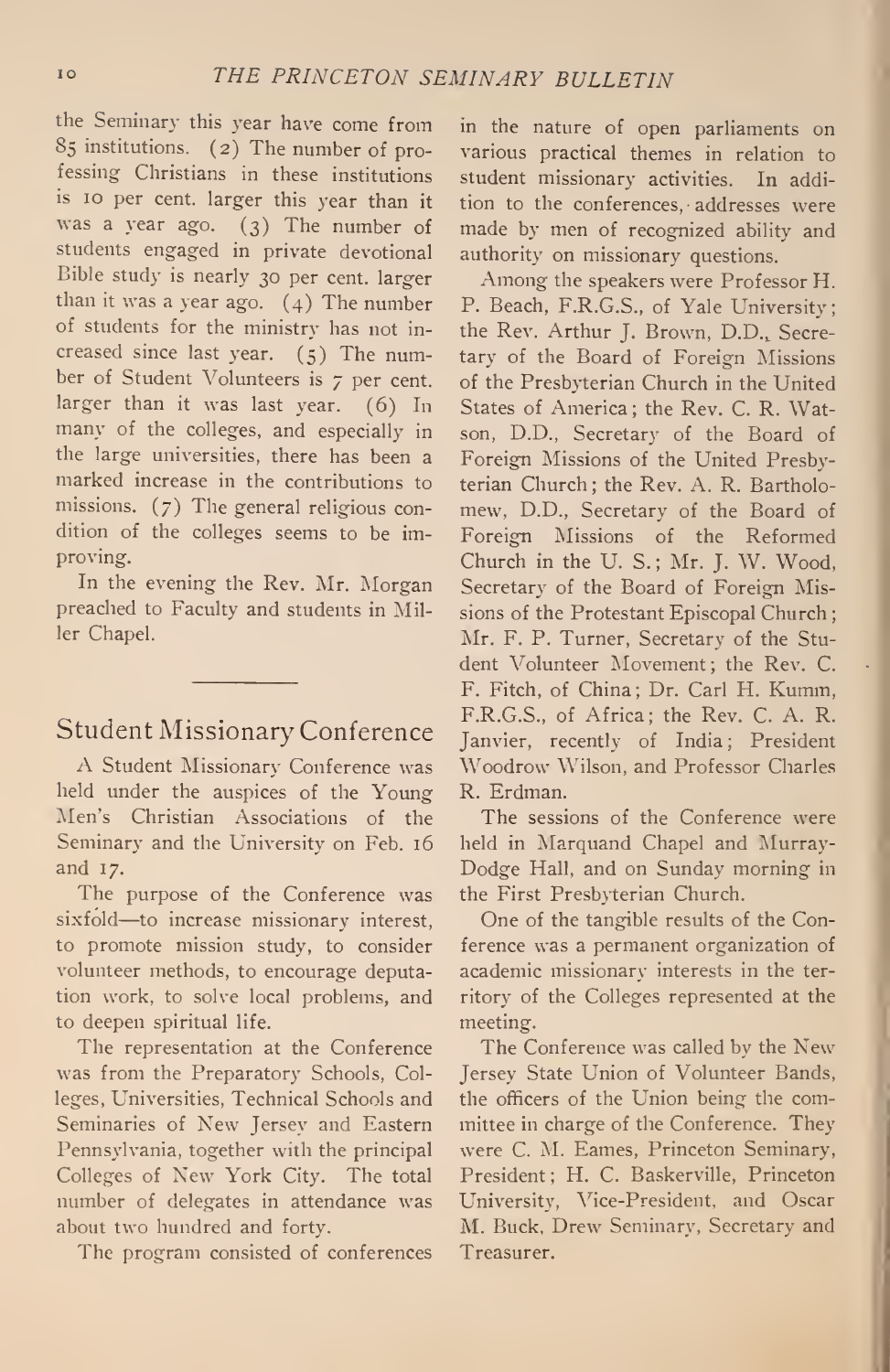the Seminary this year have come from 85 institutions. (2) The number of professing Christians in these institutions is 10 per cent, larger this year than it was a year ago. (3) The number of students engaged in private devotional Bible study is nearly 30 per cent, larger than it was a year ago.  $(4)$  The number of students for the ministry has not in creased since last year. (5) The number of Student Volunteers is 7 per cent.<br>larger than it was last year. (6) In many of the colleges, and especially in the large universities, there has been a marked increase in the contributions to missions. (7) The general religious condition of the colleges seems to be improving.

In the evening the Rev. Mr. Morgan preached to Faculty and students in Miller Chapel.

#### Student Missionary Conference

A Student Missionary Conference was held under the auspices of the Young Men's Christian Associations of the Seminary and the University on Feb. 16 and 17.

The purpose of the Conference was sixfold—to increase missionary interest, to promote mission study, to consider volunteer methods, to encourage deputation work, to solve local problems, and to deepen spiritual life.

The representation at the Conference was from the Preparatory Schools, Colleges, Universities, Technical Schools and Seminaries of New Jersey and Eastern Pennsylvania, together with the principal Colleges of New York City. The total number of delegates in attendance was about two hundred and forty.

The program consisted of conferences

in the nature of open parliaments on various practical themes in relation to student missionary activities. In addition to the conferences, addresses were made by men of recognized ability and authority on missionary questions.

Among the speakers were Professor H. P. Beach, F.R.G.S., of Yale University; the Rev. Arthur J. Brown, D.D., Secretary of the Board of Foreign Missions of the Presbyterian Church in the United States of America; the Rev. C. R. Watson, D.D., Secretary of the Board of Foreign Missions of the United Presbyterian Church ; the Rev. A. R. Bartholomew, D.D., Secretary of the Board of Foreign Missions of the Reformed Church in the U.S.; Mr. J. W. Wood, Secretary of the Board of Foreign Missions of the Protestant Episcopal Church; Mr. F. P. Turner, Secretary of the Stu dent Volunteer Movement; the Rev. C. F. Fitch, of China ; Dr. Carl H. Kumm, F.R.G.S., of Africa; the Rev. C. A. R. Janvier, recently of India; President Woodrow Wilson, and Professor Charles R. Erdman.

The sessions of the Conference were held in Marquand Chapel and Murray-Dodge Hall, and on Sunday morning in the First Presbyterian Church.

One of the tangible results of the Conference was a permanent organization of academic missionary interests in the ter ritory of the Colleges represented at the meeting.

The Conference was called by the New Jersey State Union of Volunteer Bands, the officers of the Union being the committee in charge of the Conference. They were C. M. Eames, Princeton Seminary, President ; H. C. Baskerville, Princeton University, Vice-President, and Oscar M. Buck, Drew Seminary, Secretary and Treasurer.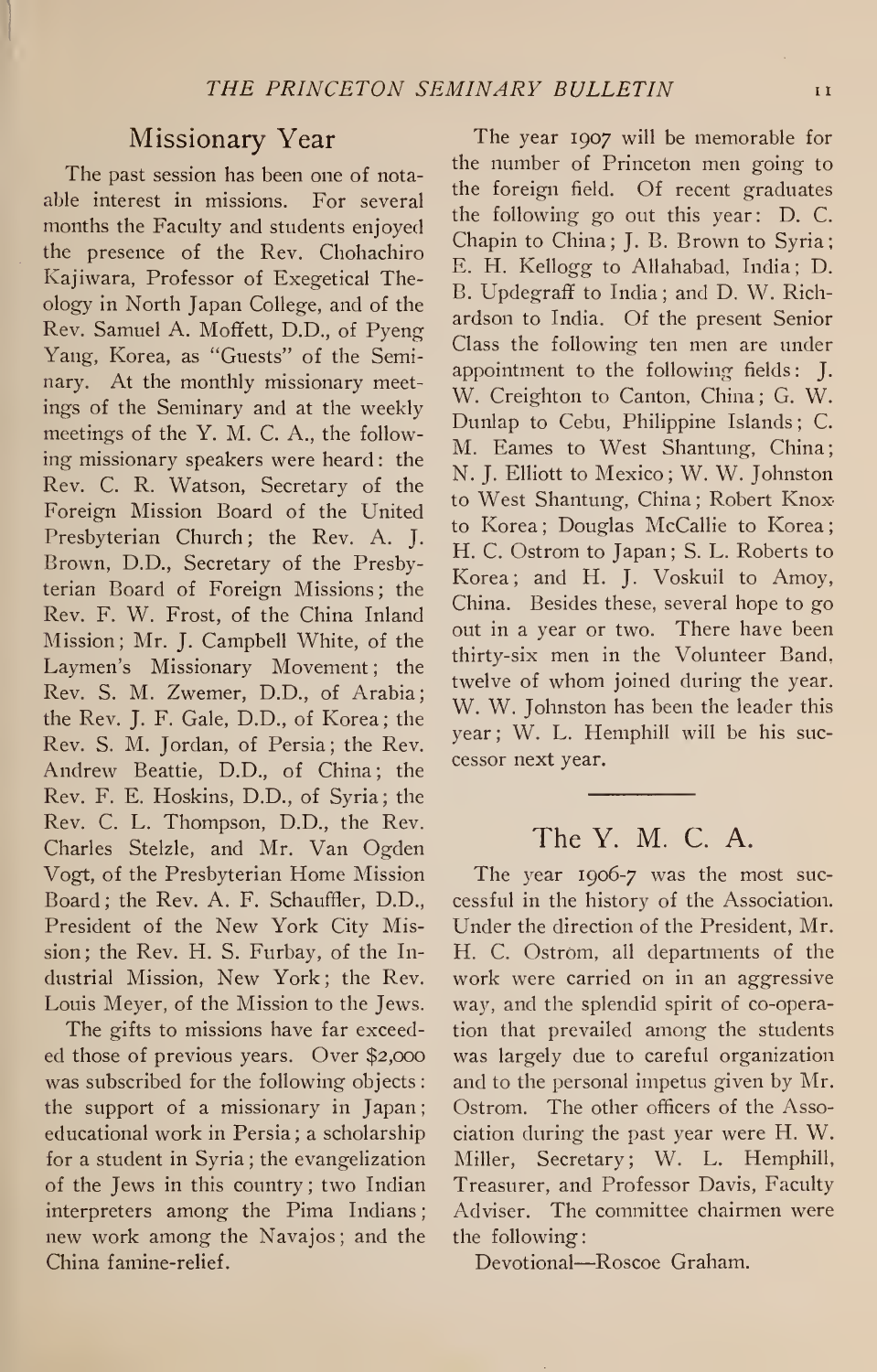#### Missionary Year

The past session has been one of notaable interest in missions. For several months the Faculty and students enjoyed the presence of the Rev. Chohachiro Kajiwara, Professor of Exegetical Theology in North Japan College, and of the Rev. Samuel A. Moffett, D.D., of Pyeng Yang, Korea, as "Guests" of the Seminary. At the monthly missionary meetings of the Seminary and at the weekly meetings of the Y. M. C. A., the following missionary speakers were heard : the Rev. C. R. Watson, Secretary of the Foreign Mission Board of the United Presbyterian Church; the Rev. A. J. Brown, D.D., Secretary of the Presbyterian Board of Foreign Missions ; the Rev. F. W. Frost, of the China Inland Mission; Mr. J. Campbell White, of the Laymen's Missionary Movement ; the Rev. S. M. Zwemer, D.D., of Arabia; the Rev. J. F. Gale, D.D., of Korea ; the Rev. S. M. Jordan, of Persia; the Rev. Andrew Beattie, D.D., of China; the Rev. F. E. Hoskins, D.D., of Syria; the Rev. C. L. Thompson, D.D., the Rev. Charles Stelzle, and Mr. Van Ogden Vogt, of the Presbyterian Home Mission Board ; the Rev. A. F. Schauffler, D.D., President of the New York City Mission; the Rev. H. S. Furbay, of the Industrial Mission, New York; the Rev. Louis Meyer, of the Mission to the Jews.

The gifts to missions have far exceeded those of previous years. Over \$2,000 was subscribed for the following objects: the support of a missionary in Japan; educational work in Persia ; a scholarship for a student in Syria ; the evangelization of the Jews in this country ; two Indian interpreters among the Pima Indians new work among the Navajos; and the China famine-relief.

The year 1907 will be memorable for the number of Princeton men going to the foreign field. Of recent graduates the following go out this year: D. C. Chapin to China; J. B. Brown to Syria; E. H. Kellogg to Allahabad, India ; D. B. Updegraff to India ; and D. W. Richardson to India. Of the present Senior Class the following ten men are under appointment to the following fields: J. W. Creighton to Canton, China ; G. W. Dunlap to Cebu, Philippine Islands ; C. M. Eames to West Shantung, China; N. J. Elliott to Mexico; W. W. Johnston to West Shantung, China; Robert Knox to Korea; Douglas McCallie to Korea; H. C. Ostrom to Japan; S. L. Roberts to Korea; and H. J. Voskuil to Amoy, China. Besides these, several hope to go out in a year or two. There have been thirty-six men in the Volunteer Band, twelve of whom joined during the year. W. W. Johnston has been the leader this year; W. L. Hemphill will be his suc cessor next year.

#### The Y. M. C. A.

The year 1906-7 was the most successful in the history of the Association. Under the direction of the President, Mr. H. C. Ostrom, all departments of the work were carried on in an aggressive way, and the splendid spirit of co-operation that prevailed among the students was largely due to careful organization and to the personal impetus given by Mr. Ostrom. The other officers of the Association during the past year were H. W. Miller, Secretary; W. L. Hemphill, Treasurer, and Professor Davis, Faculty Adviser. The committee chairmen were the following:

Devotional—Roscoe Graham.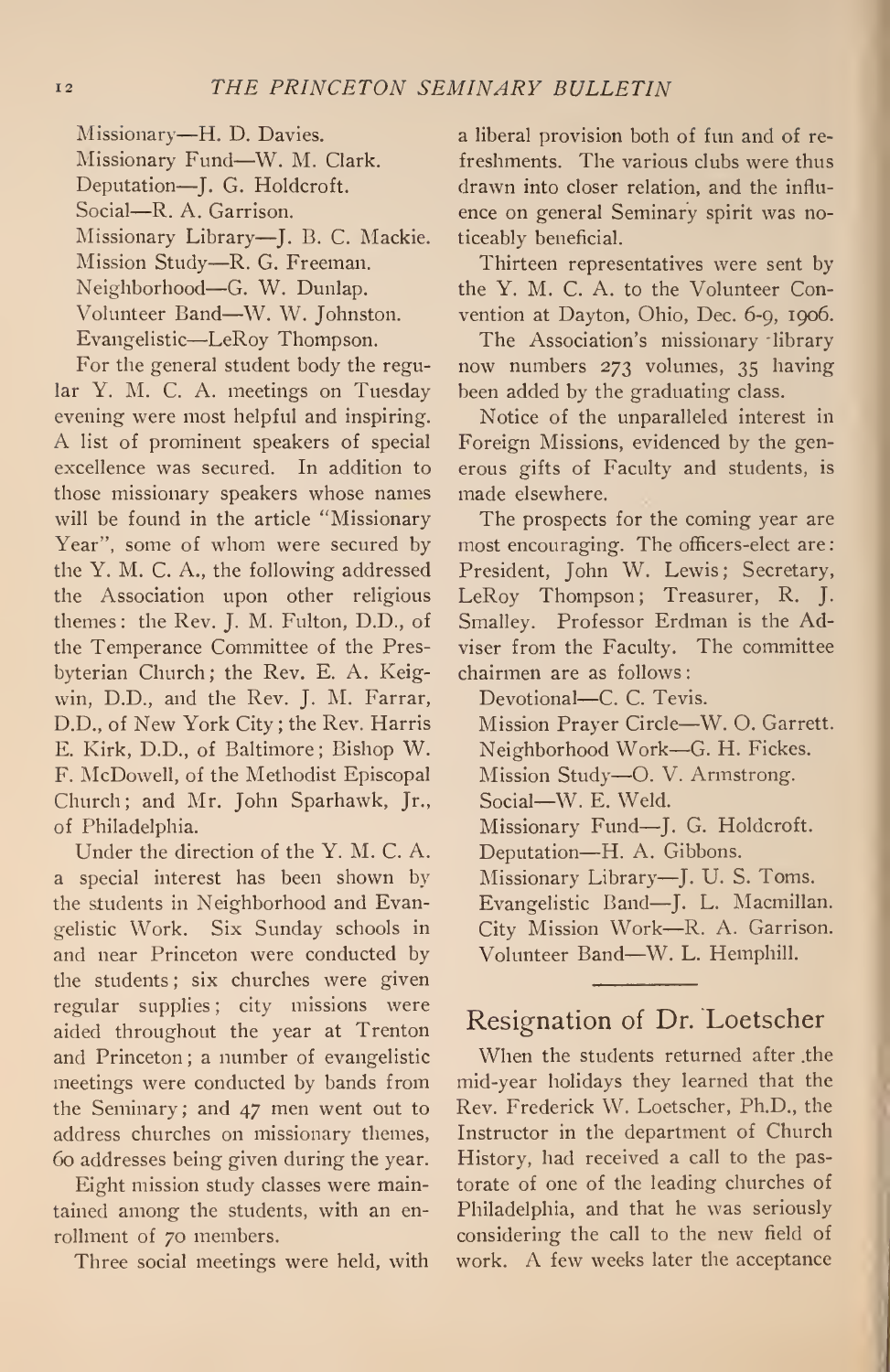Missionary—H. D. Davies.

Missionary Fund—W. M. Clark.

Deputation—J. G. Holdcroft.

Social—R. A. Garrison.

Missionary Library—J. B. C. Mackie.

Mission Study—R. G. Freeman.

Neighborhood—G. W. Dunlap.

Volunteer Band—W. W. Johnston.

Evangelistic—LeRoy Thompson.

For the general student body the regular Y. M. C. A. meetings on Tuesday evening were most helpful and inspiring. A list of prominent speakers of special excellence was secured. In addition to those missionary speakers whose names will be found in the article "Missionary Year'', some of whom were secured by the Y. M. C. A., the following addressed the Association upon other religious themes : the Rev. J. M. Fulton, D.D., of the Temperance Committee of the Presbyterian Church; the Rev. E. A. Keigwin, D.D., and the Rev. J. M. Farrar, D.D., of New York City; the Rev. Harris E. Kirk, D.D., of Baltimore ; Bishop W. F. McDowell, of the Methodist Episcopal Church; and Mr. John Sparhawk, Jr., of Philadelphia.

Under the direction of the Y. M. C. A. a special interest has been shown by the students in Neighborhood and Evangelistic Work. Six Sunday schools in and near Princeton were conducted by the students ; six churches were given regular supplies; city missions were aided throughout the year at Trenton and Princeton ; a number of evangelistic meetings were conducted by bands from the Seminary ; and <sup>47</sup> men went out to address churches on missionary themes, 60 addresses being given during the year.

Eight mission study classes were maintained among the students, with an en rollment of 70 members.

Three social meetings were held, with

a liberal provision both of fun and of re freshments. The various clubs were thus drawn into closer relation, and the influ ence on general Seminary spirit was noticeably beneficial.

Thirteen representatives were sent by the Y. M. C. A. to the Volunteer Convention at Dayton, Ohio, Dec. 6-9, 1906.

The Association's missionary library now numbers <sup>273</sup> volumes, <sup>35</sup> having been added by the graduating class.

Notice of the unparalleled interest in Foreign Missions, evidenced by the generous gifts of Faculty and students, is made elsewhere.

The prospects for the coming year are most encouraging. The officers-elect are President, John W. Lewis; Secretary, LeRoy Thompson; Treasurer, R. J. Smalley. Professor Erdman is the Adviser from the Faculty. The committee chairmen are as follows

Devotional—C. C. Tevis.

Mission Prayer Circle—W. O. Garrett.

Neighborhood Work—G. H. Fickes.

Mission Study—O. V. Armstrong.

Social—W. E. Weld.

Missionary Fund—J. G. Holdcroft.

Deputation—H. A. Gibbons.

Missionary Library—J. U. S. Toms.

Evangelistic Band—J. L. Macmillan. City Mission Work—R. A. Garrison. Volunteer Band—W. L. Hemphill.

#### Resignation of Dr. Loetscher

When the students returned after .the mid-year holidays they learned that the Rev. Frederick W. Loetscher, Ph.D., the Instructor in the department of Church History, had received a call to the pastorate of one of the leading churches of Philadelphia, and that he was seriously considering the call to the new field of work. A few weeks later the acceptance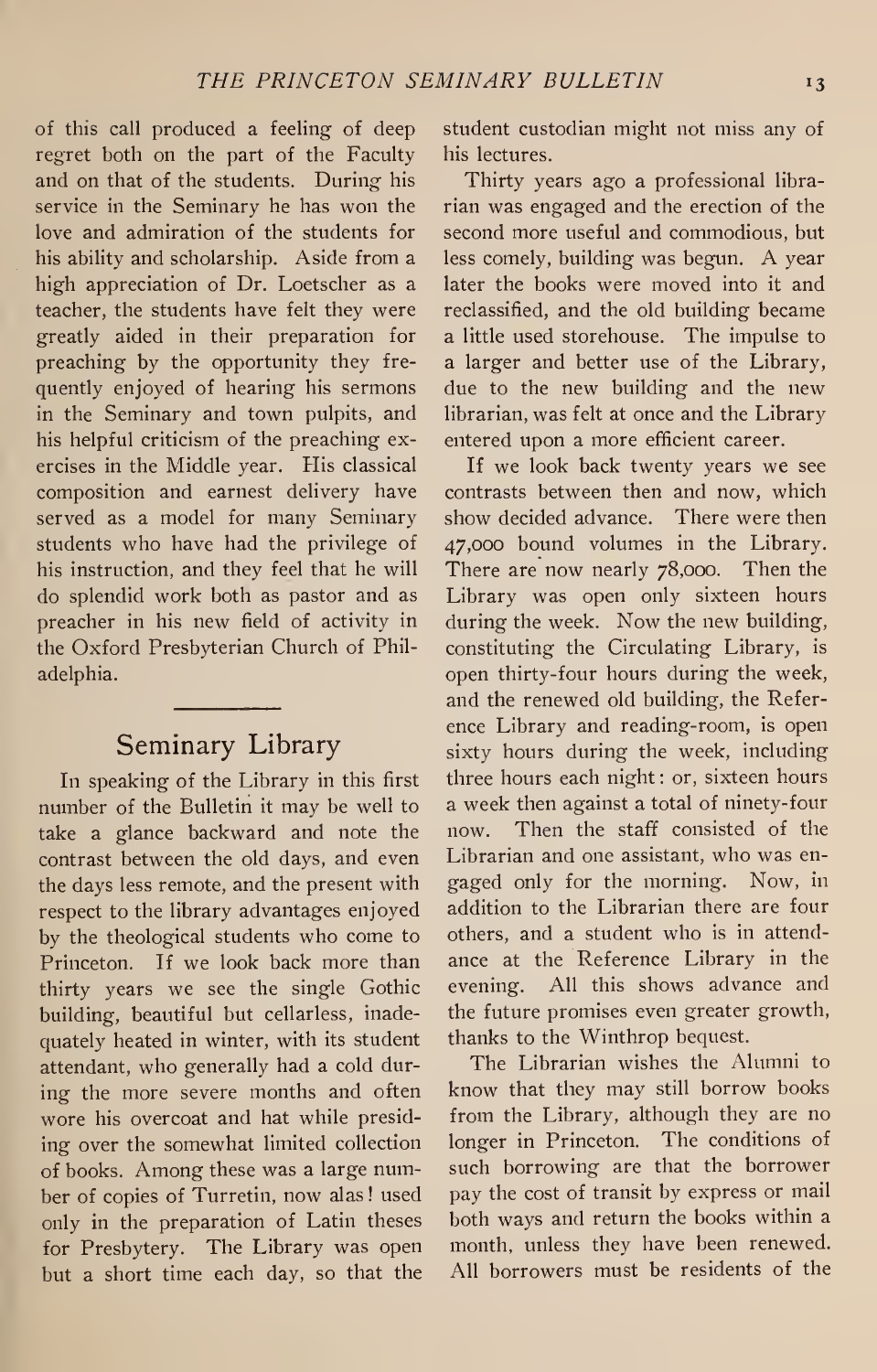of this call produced a feeling of deep regret both on the part of the Faculty and on that of the students. During his service in the Seminary he has won the love and admiration of the students for his ability and scholarship. Aside from a high appreciation of Dr. Loetscher as a teacher, the students have felt they were greatly aided in their preparation for preaching by the opportunity they fre quently enjoyed of hearing his sermons in the Seminary and town pulpits, and his helpful criticism of the preaching exercises in the Middle year. His classical composition and earnest delivery have served as a model for many Seminary students who have had the privilege of his instruction, and they feel that he will do splendid work both as pastor and as preacher in his new field of activity in the Oxford Presbyterian Church of Phil adelphia.

#### Seminary Library

In speaking of the Library in this first number of the Bulletin it may be well to a week take a glance backward and note the contrast between the old days, and even the days less remote, and the present with respect to the library advantages enjoyed by the theological students who come to Princeton. If we look back more than thirty years we see the single Gothic building, beautiful but cellarless, inadequately heated in winter, with its student attendant, who generally had a cold during the more severe months and often wore his overcoat and hat while presiding over the somewhat limited collection of books. Among these was a large number of copies of Turretin, now alas! used only in the preparation of Latin theses for Presbytery. The Library was open but a short time each day, so that the

student custodian might not miss any of his lectures.

Thirty years ago a professional libra rian was engaged and the erection of the second more useful and commodious, but less comely, building was begun. A year later the books were moved into it and reclassified, and the old building became a little used storehouse. The impulse to a larger and better use of the Library, due to the new building and the new librarian, was felt at once and the Library entered upon a more efficient career.

If we look back twenty years we see contrasts between then and now, which show decided advance. There were then 47,000 bound volumes in the Library. There are now nearly 78,000. Then the Library was open only sixteen hours during the week. Now the new building, constituting the Circulating Library, is open thirty-four hours during the week, and the renewed old building, the Reference Library and reading-room, is open sixty hours during the week, including three hours each night : or, sixteen hours a week then against a total of ninety-four Then the staff consisted of the Librarian and one assistant, who was en gaged only for the morning. Now, in addition to the Librarian there are four others, and a student who is in attend ance at the Reference Library in the evening. All this shows advance and the future promises even greater growth, thanks to the Winthrop bequest.

The Librarian wishes the Alumni to know that they may still borrow books from the Library, although they are no longer in Princeton. The conditions of such borrowing are that the borrower pay the cost of transit by express or mail both ways and return the books within a month, unless they have been renewed. All borrowers must be residents of the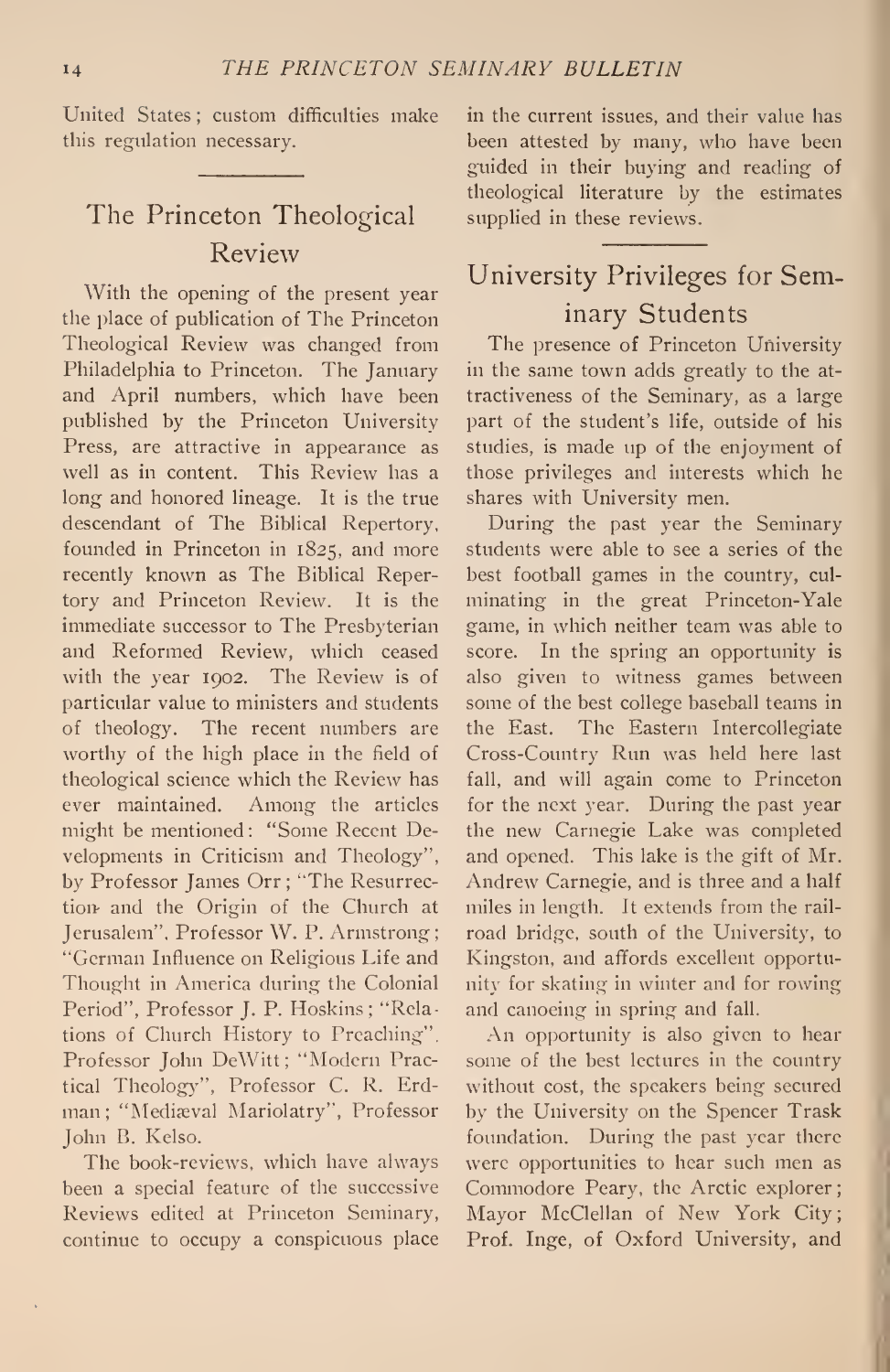United States ; custom difficulties make this regulation necessary.

# The Princeton Theological Review

With the opening of the present year the place of publication of The Princeton Theological Review was changed from Philadelphia to Princeton. The January and April numbers, which have been published by the Princeton University Press, are attractive in appearance as well as in content. This Review has a long and honored lineage. It is the true descendant of The Biblical Repertory, founded in Princeton in 1825, and more recently known as The Biblical Repertory and Princeton Review. It is the immediate successor to The Presbyterian and Reformed Review, which ceased with the year 1902. The Review is of particular value to ministers and students of theology. The recent numbers are worthy of the high place in the field of theological science which the Review has ever maintained. Among the articles might be mentioned: "Some Recent Developments in Criticism and Theology", by Professor James Orr ; "The Resurrection- and the Origin of the Church at Jerusalem", Professor W. P. Armstrong; "German Influence on Religious Life and Thought in America during the Colonial Period", Professor J. P. Hoskins ; "Rela tions of Church History to Preaching", Professor John DeWitt ; "Modern Practical Theology", Professor C. R. Erdman ; "Mediaeval Mariolatry", Professor John B. Kelso.

The book-reviews, which have always been a special feature of the successive Reviews edited at Princeton Seminary, continue to occupy a conspicuous place in the current issues, and their value has been attested by many, who have been guided in their buying and reading of theological literature by the estimates supplied in these reviews.

# University Privileges for Seminary Students

The presence of Princeton University in the same town adds greatly to the at tractiveness of the Seminary, as a large part of the student's life, outside of his studies, is made up of the enjoyment of those privileges and interests which he shares with University men.

During the past year the Seminary students were able to see a series of the best football games in the country, cul minating in the great Princeton-Yale game, in which neither team was able to score. In the spring an opportunity is also given to witness games between some of the best college baseball teams in the East. The Eastern Intercollegiate Cross-Country Run was held here last fall, and will again come to Princeton for the next year. During the past year the new Carnegie Lake was completed and opened. This lake is the gift of Mr. Andrew Carnegie, and is three and a half miles in length. It extends from the rail road bridge, south of the University, to Kingston, and affords excellent opportunity for skating in winter and for rowing and canoeing in spring and fall.

An opportunity is also given to hear some of the best lectures in the country without cost, the speakers being secured by the University on the Spencer Trask foundation. During the past year there were opportunities to hear such men as Commodore Peary, the Arctic explorer Mayor McClellan of New York City; Prof. Inge, of Oxford University, and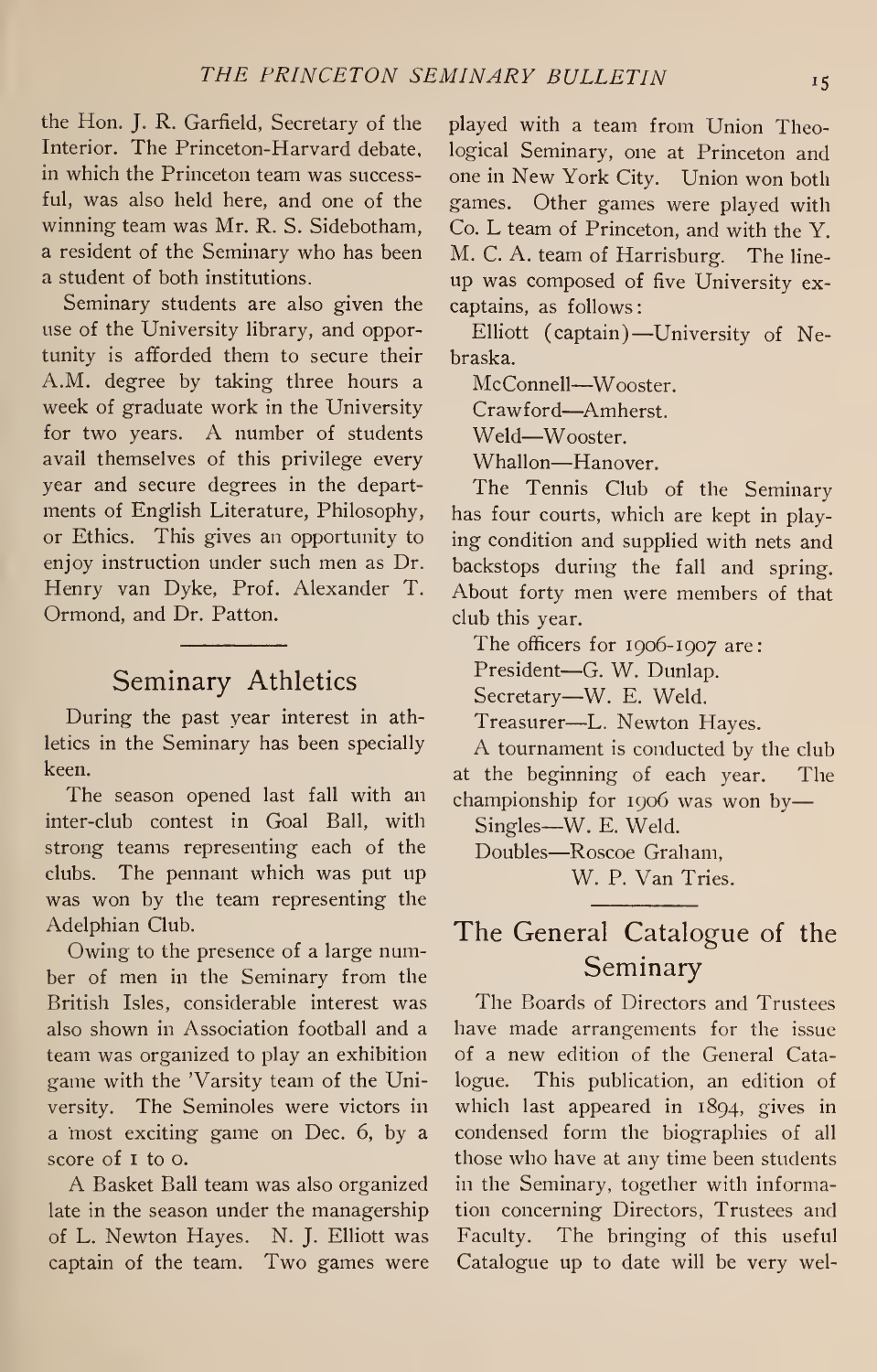the Hon. J. R. Garfield, Secretary of the Interior. The Princeton-Harvard debate, in which the Princeton team was successful, was also held here, and one of the winning team was Mr. R. S. Sidebotham, a resident of the Seminary who has been a student of both institutions.

Seminary students are also given the use of the University library, and opportunity is afforded them to secure their A.M. degree by taking three hours a week of graduate work in the University for two years. A number of students avail themselves of this privilege every year and secure degrees in the departments of English Literature, Philosophy, or Ethics. This gives an opportunity to enjoy instruction under such men as Dr. Henry van Dyke, Prof. Alexander T. Ormond, and Dr. Patton.

#### Seminary Athletics

During the past year interest in athletics in the Seminary has been specially keen.

The season opened last fall with an inter-club contest in Goal Ball, with strong teams representing each of the clubs. The pennant which was put up was won by the team representing the Adelphian Club.

Owing to the presence of a large number of men in the Seminary from the British Isles, considerable interest was also shown in Association football and a team was organized to play an exhibition game with the 'Varsity team of the University. The Seminoles were victors in a most exciting game on Dec. 6, by a score of <sup>1</sup> to o.

A Basket Ball team was also organized late in the season under the managership of L. Newton Hayes. N. J. Elliott was Faculty. captain of the team. Two games were

played with a team from Union Theological Seminary, one at Princeton and one in New York City. Union won both games. Other games were played with Co. L team of Princeton, and with the Y. M. C. A. team of Harrisburg. The line up was composed of five University excaptains, as follows

Elliott (captain) —University of Nebraska.

McConnell—Wooster.

Crawford—Amherst.

Weld—Wooster

Whallon—Hanover.

The Tennis Club of the Seminary has four courts, which are kept in playing condition and supplied with nets and backstops during the fall and spring. About forty men were members of that club this year.

The officers for 1906-1907 are:

President—G. W. Dunlap.

Secretary—W. E. Weld.

Treasurer—L. Newton Hayes.

A tournament is conducted by the club at the beginning of each year. The championship for 1906 was won by

Singles—W. E. Weld.

Doubles—Roscoe Graham,

W. P. Van Tries.

### The General Catalogue of the Seminary

The Boards of Directors and Trustees have made arrangements for the issue of a new edition of the General Catalogue. This publication, an edition of which last appeared in 1894, gives in condensed form the biographies of all those who have at any time been students in the Seminary, together with information concerning Directors, Trustees and The bringing of this useful Catalogue up to date will be very wel-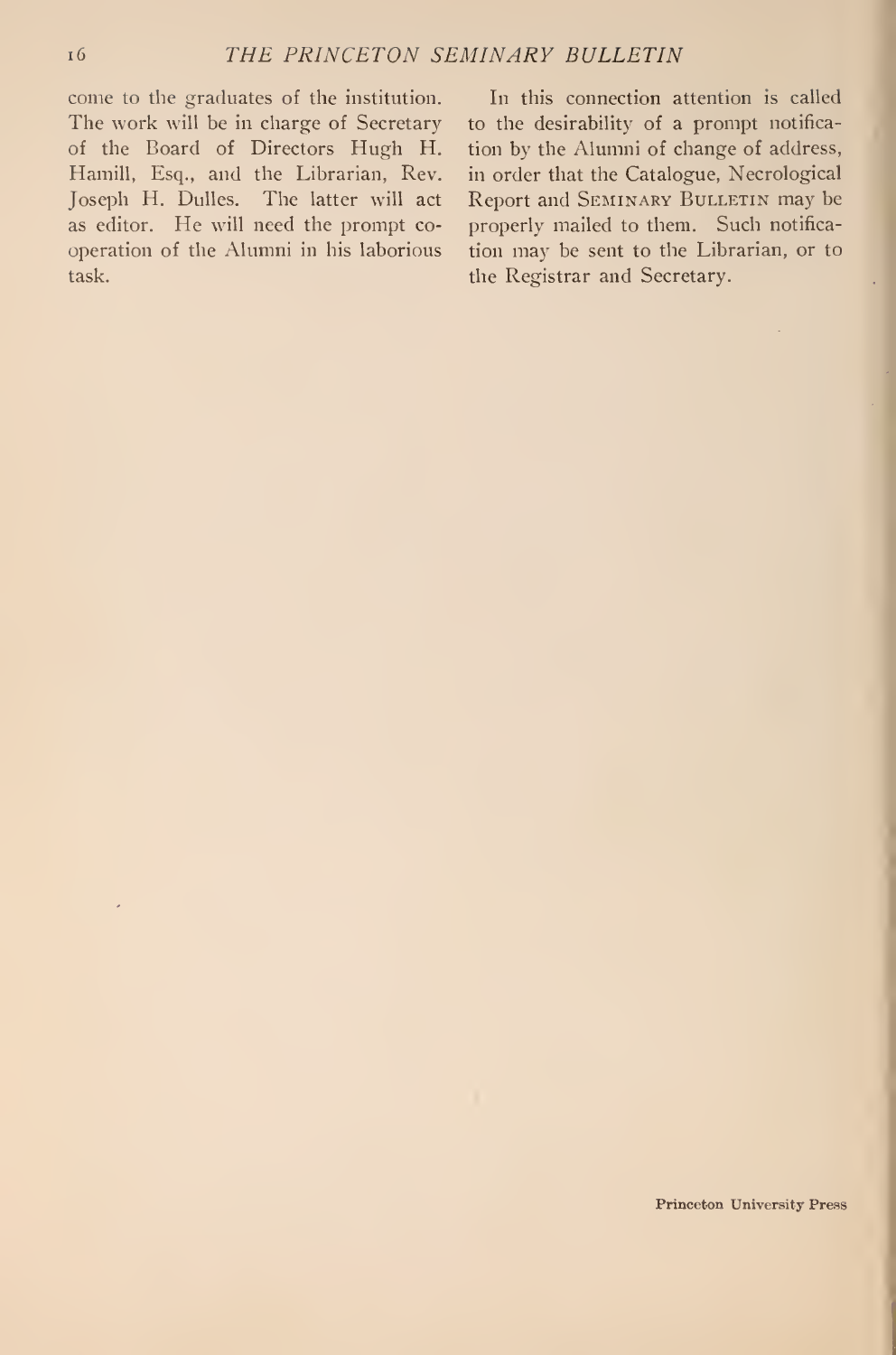come to the graduates of the institution. The work will be in charge of Secretary of the Board of Directors Hugh H. Hamill, Esq., and the Librarian, Rev. Joseph H. Dulles. The latter will act as editor. He will need the prompt co operation of the Alumni in his laborious task.

In this connection attention is called to the desirability of a prompt notifica tion by the Alumni of change of address, in order that the Catalogue, Necrological Report and Seminary Bulletin may be properly mailed to them. Such notification may be sent to the Librarian, or to the Registrar and Secretary.

Princeton University Press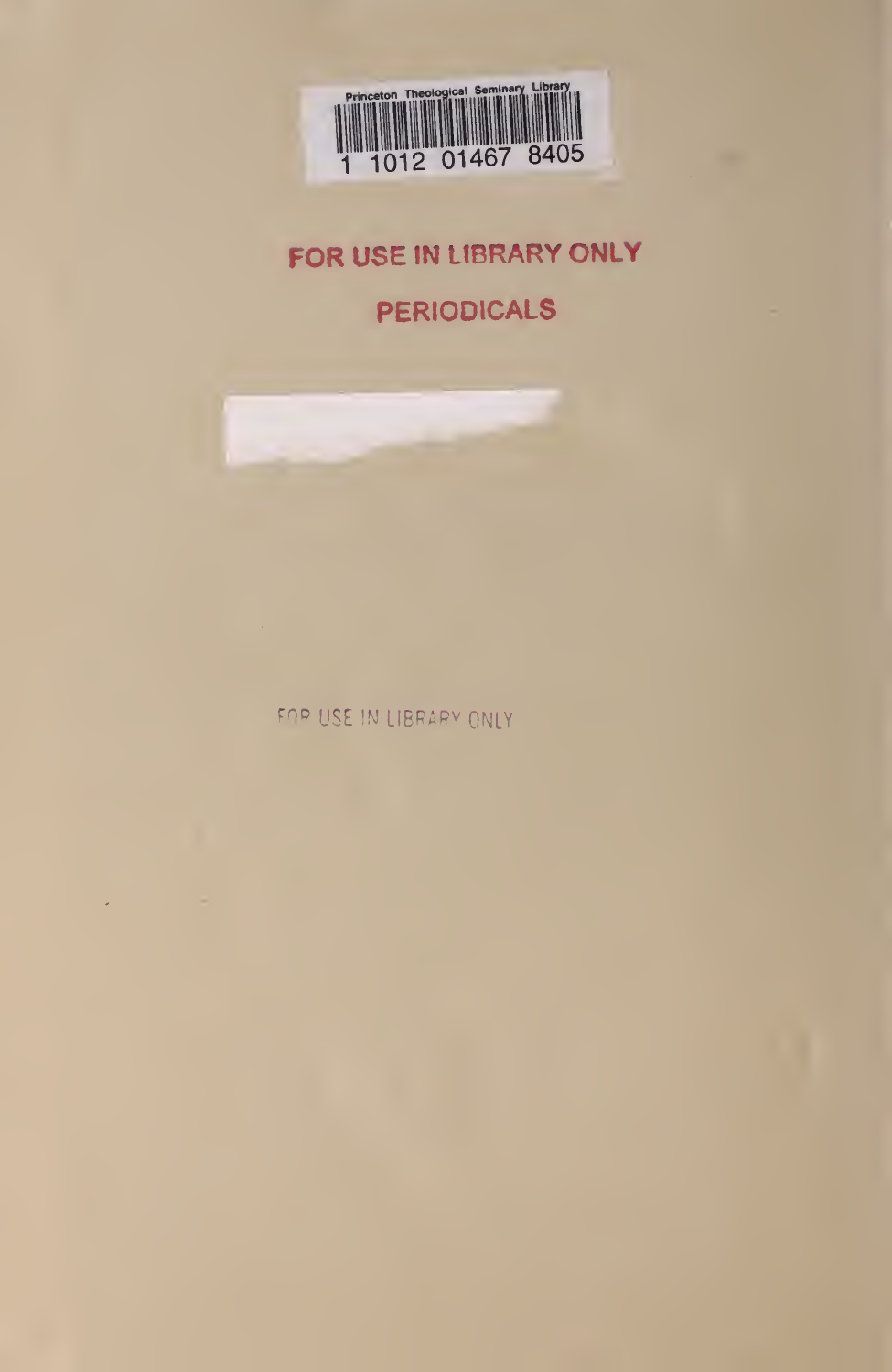

# FOR USE IN LIBRARY ONLY

# PERIODICALS



#### FOP USE IN LIBRARY ONLY.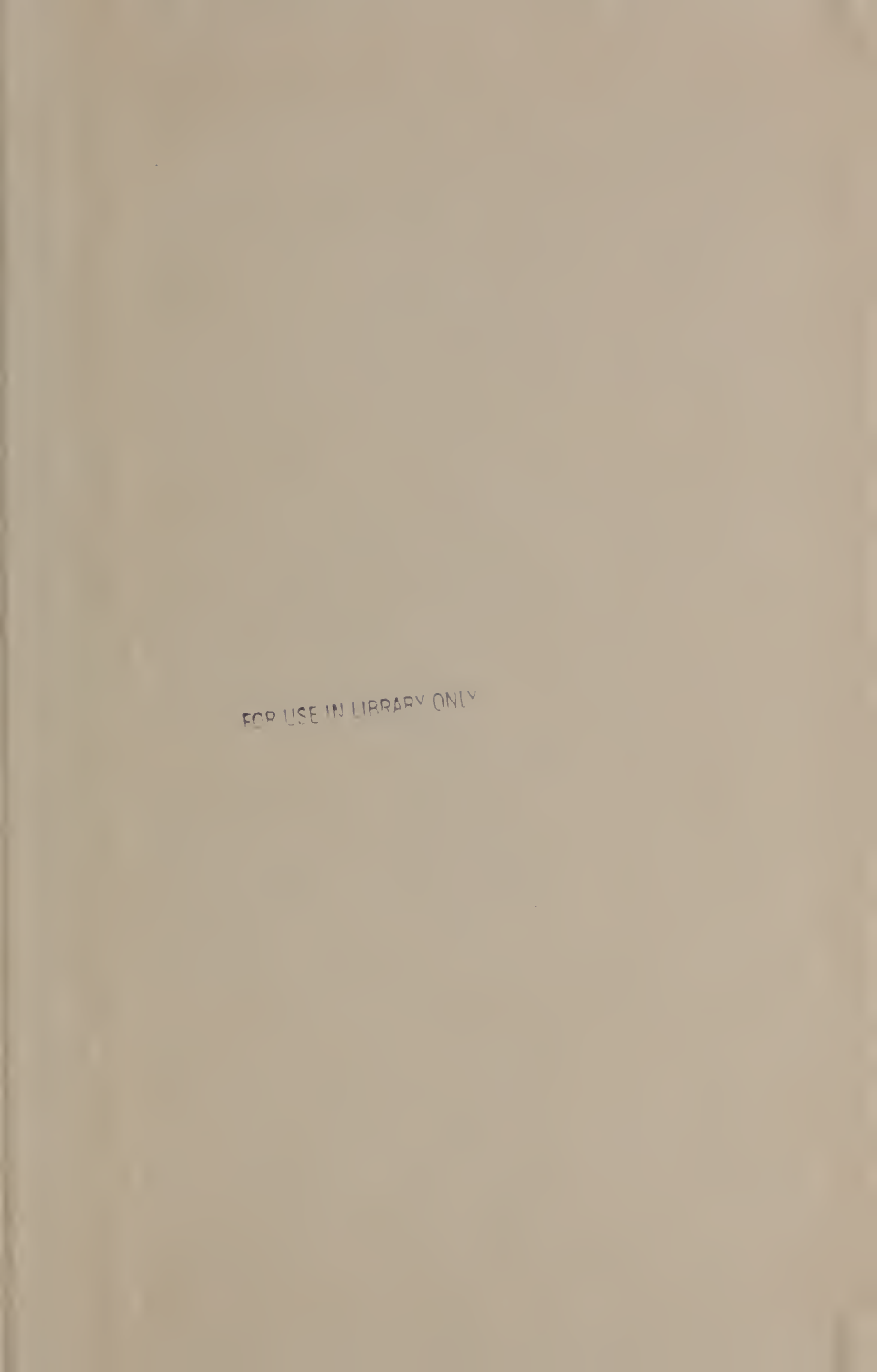